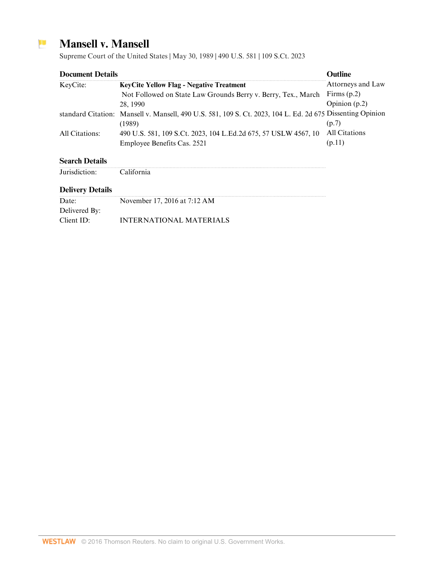## ш

# **[Mansell v. Mansell](http://www.westlaw.com/Document/I3193c0bf9c2511d9bdd1cfdd544ca3a4/View/FullText.html?originationContext=docHeader&rs=cblt1.0&vr=3.0&contextData=(sc.DocLink)&transitionType=Document&needToInjectTerms=False)**

Supreme Court of the United States | May 30, 1989 | 490 U.S. 581 | 109 S.Ct. 2023

Client ID: INTERNATIONAL MATERIALS

| <b>Document Details</b> |                                                                                                            | <b>Outline</b>       |
|-------------------------|------------------------------------------------------------------------------------------------------------|----------------------|
| KeyCite:                | <b>KeyCite Yellow Flag - Negative Treatment</b>                                                            | Attorneys and Law    |
|                         | Not Followed on State Law Grounds Berry v. Berry, Tex., March                                              | Firms $(p.2)$        |
|                         | 28, 1990                                                                                                   | Opinion $(p.2)$      |
|                         | standard Citation: Mansell v. Mansell, 490 U.S. 581, 109 S. Ct. 2023, 104 L. Ed. 2d 675 Dissenting Opinion |                      |
|                         | (1989)                                                                                                     | (p.7)                |
| All Citations:          | 490 U.S. 581, 109 S.Ct. 2023, 104 L.Ed.2d 675, 57 USLW 4567, 10                                            | <b>All Citations</b> |
|                         | Employee Benefits Cas. 2521                                                                                | (p.11)               |
| <b>Search Details</b>   |                                                                                                            |                      |
| Jurisdiction:           | California                                                                                                 |                      |
| <b>Delivery Details</b> |                                                                                                            |                      |
| Date:                   | November 17, 2016 at 7:12 AM                                                                               |                      |
| Delivered By:           |                                                                                                            |                      |

| <b>WESTLAW</b> © 2016 Thomson Reuters. No claim to original U.S. Government Works |
|-----------------------------------------------------------------------------------|
|-----------------------------------------------------------------------------------|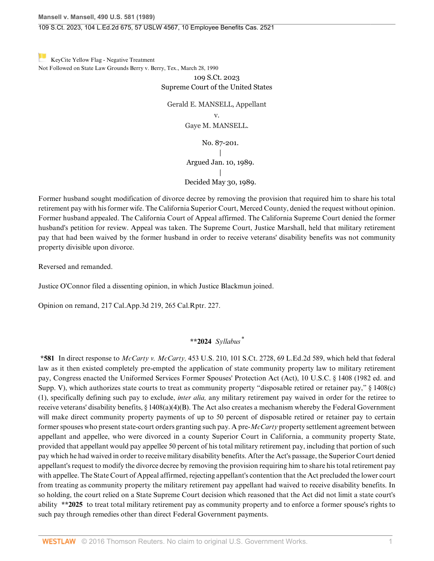**Mansell v. Mansell, 490 U.S. 581 (1989)** 109 S.Ct. 2023, 104 L.Ed.2d 675, 57 USLW 4567, 10 Employee Benefits Cas. 2521

[K](https://intl.westlaw.com/Link/RelatedInformation/Flag?documentGuid=I3193c0bf9c2511d9bdd1cfdd544ca3a4&transitionType=Document&originationContext=docHeaderFlag&contextData=(sc.DocLink))eyCite Yellow Flag - Negative Treatment Not Followed on State Law Grounds [Berry v. Berry, T](https://intl.westlaw.com/Document/Icc3a2300e7d611d99439b076ef9ec4de/View/FullText.html?navigationPath=RelatedInfo%2Fv4%2Fkeycite%2Fnav%2F%3Fguid%3DIcc3a2300e7d611d99439b076ef9ec4de%26ss%3D1989079043%26ds%3D1990056399&listSource=RelatedInfo&list=NegativeCitingReferences&rank=0&originationContext=docHeader&transitionType=NegativeTreatment&contextData=%28sc.DocLink%29)ex., March 28, 1990

> 109 S.Ct. 2023 Supreme Court of the United States

Gerald E. MANSELL, Appellant v. Gaye M. MANSELL. No. 87-201.

| Argued Jan. 10, 1989. | Decided May 30, 1989.

Former husband sought modification of divorce decree by removing the provision that required him to share his total retirement pay with his former wife. The California Superior Court, Merced County, denied the request without opinion. Former husband appealed. The California Court of Appeal affirmed. The California Supreme Court denied the former husband's petition for review. Appeal was taken. The Supreme Court, Justice Marshall, held that military retirement pay that had been waived by the former husband in order to receive veterans' disability benefits was not community property divisible upon divorce.

Reversed and remanded.

Justice O'Connor filed a dissenting opinion, in which Justice Blackmun joined.

Opinion on remand, [217 Cal.App.3d 219, 265 Cal.Rptr. 227](http://www.westlaw.com/Link/Document/FullText?findType=Y&serNum=1989177841&pubNum=227&originatingDoc=I3193c0bf9c2511d9bdd1cfdd544ca3a4&refType=RP&originationContext=document&vr=3.0&rs=cblt1.0&transitionType=DocumentItem&contextData=(sc.DocLink)).

## <span id="page-1-0"></span>**\*\*2024** *Syllabus* [\\*](#page-11-1)

**\*581** In direct response to *McCarty v. McCarty,* [453 U.S. 210, 101 S.Ct. 2728, 69 L.Ed.2d 589,](http://www.westlaw.com/Link/Document/FullText?findType=Y&serNum=1981127855&pubNum=708&originatingDoc=I3193c0bf9c2511d9bdd1cfdd544ca3a4&refType=RP&originationContext=document&vr=3.0&rs=cblt1.0&transitionType=DocumentItem&contextData=(sc.DocLink)) which held that federal law as it then existed completely pre-empted the application of state community property law to military retirement pay, Congress enacted the Uniformed Services Former Spouses' Protection Act (Act), [10 U.S.C. § 1408](http://www.westlaw.com/Link/Document/FullText?findType=L&pubNum=1000546&cite=10USCAS1408&originatingDoc=I3193c0bf9c2511d9bdd1cfdd544ca3a4&refType=LQ&originationContext=document&vr=3.0&rs=cblt1.0&transitionType=DocumentItem&contextData=(sc.DocLink)) (1982 ed. and Supp. V), which authorizes state courts to treat as community property "disposable retired or retainer pay," [§ 1408\(c\)](http://www.westlaw.com/Link/Document/FullText?findType=L&pubNum=1000546&cite=10USCAS1408&originatingDoc=I3193c0bf9c2511d9bdd1cfdd544ca3a4&refType=RB&originationContext=document&vr=3.0&rs=cblt1.0&transitionType=DocumentItem&contextData=(sc.DocLink)#co_pp_10c0000001331) [\(1\),](http://www.westlaw.com/Link/Document/FullText?findType=L&pubNum=1000546&cite=10USCAS1408&originatingDoc=I3193c0bf9c2511d9bdd1cfdd544ca3a4&refType=RB&originationContext=document&vr=3.0&rs=cblt1.0&transitionType=DocumentItem&contextData=(sc.DocLink)#co_pp_10c0000001331) specifically defining such pay to exclude, *inter alia,* any military retirement pay waived in order for the retiree to receive veterans' disability benefits, [§ 1408\(a\)\(4\)\(B\).](http://www.westlaw.com/Link/Document/FullText?findType=L&pubNum=1000546&cite=10USCAS1408&originatingDoc=I3193c0bf9c2511d9bdd1cfdd544ca3a4&refType=RB&originationContext=document&vr=3.0&rs=cblt1.0&transitionType=DocumentItem&contextData=(sc.DocLink)#co_pp_7f0000008ef57) The Act also creates a mechanism whereby the Federal Government will make direct community property payments of up to 50 percent of disposable retired or retainer pay to certain former spouses who present state-court orders granting such pay. A pre-*McCarty* property settlement agreement between appellant and appellee, who were divorced in a county Superior Court in California, a community property State, provided that appellant would pay appellee 50 percent of his total military retirement pay, including that portion of such pay which he had waived in order to receive military disability benefits. After the Act's passage, the Superior Court denied appellant's request to modify the divorce decree by removing the provision requiring him to share his total retirement pay with appellee. The State Court of Appeal affirmed, rejecting appellant's contention that the Act precluded the lower court from treating as community property the military retirement pay appellant had waived to receive disability benefits. In so holding, the court relied on a State Supreme Court decision which reasoned that the Act did not limit a state court's ability **\*\*2025** to treat total military retirement pay as community property and to enforce a former spouse's rights to such pay through remedies other than direct Federal Government payments.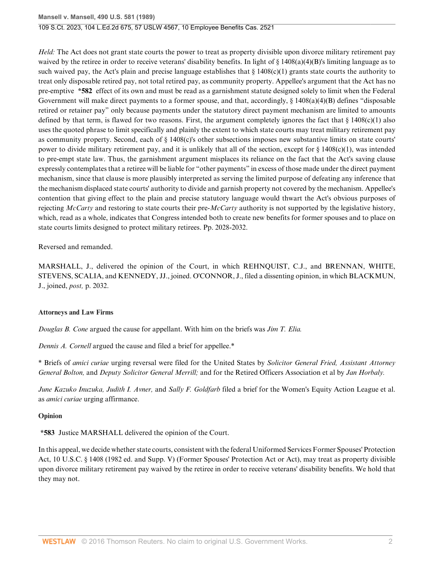## **Mansell v. Mansell, 490 U.S. 581 (1989)** 109 S.Ct. 2023, 104 L.Ed.2d 675, 57 USLW 4567, 10 Employee Benefits Cas. 2521

*Held:* The Act does not grant state courts the power to treat as property divisible upon divorce military retirement pay waived by the retiree in order to receive veterans' disability benefits. In light of  $\S 1408(a)(4)(B)$ 's limiting language as to such waived pay, the Act's plain and precise language establishes that  $\S 1408(c)(1)$  grants state courts the authority to treat only disposable retired pay, not total retired pay, as community property. Appellee's argument that the Act has no pre-emptive **\*582** effect of its own and must be read as a garnishment statute designed solely to limit when the Federal Government will make direct payments to a former spouse, and that, accordingly,  $\S$  1408(a)(4)(B) defines "disposable retired or retainer pay" only because payments under the statutory direct payment mechanism are limited to amounts defined by that term, is flawed for two reasons. First, the argument completely ignores the fact that  $\S 1408(c)(1)$  also uses the quoted phrase to limit specifically and plainly the extent to which state courts may treat military retirement pay as community property. Second, each of [§ 1408\(c\)](http://www.westlaw.com/Link/Document/FullText?findType=L&pubNum=1000546&cite=10USCAS1408&originatingDoc=I3193c0bf9c2511d9bdd1cfdd544ca3a4&refType=RB&originationContext=document&vr=3.0&rs=cblt1.0&transitionType=DocumentItem&contextData=(sc.DocLink)#co_pp_4b24000003ba5)'s other subsections imposes new substantive limits on state courts' power to divide military retirement pay, and it is unlikely that all of the section, except for  $\S 1408(c)(1)$ , was intended to pre-empt state law. Thus, the garnishment argument misplaces its reliance on the fact that the Act's saving clause expressly contemplates that a retiree will be liable for "other payments" in excess of those made under the direct payment mechanism, since that clause is more plausibly interpreted as serving the limited purpose of defeating any inference that the mechanism displaced state courts' authority to divide and garnish property not covered by the mechanism. Appellee's contention that giving effect to the plain and precise statutory language would thwart the Act's obvious purposes of rejecting *McCarty* and restoring to state courts their pre-*McCarty* authority is not supported by the legislative history, which, read as a whole, indicates that Congress intended both to create new benefits for former spouses and to place on state courts limits designed to protect military retirees. Pp. 2028-2032.

Reversed and remanded.

MARSHALL, J., delivered the opinion of the Court, in which REHNQUIST, C.J., and BRENNAN, WHITE, STEVENS, SCALIA, and KENNEDY, JJ., joined. O'CONNOR, J., filed a dissenting opinion, in which BLACKMUN, J., joined, *post,* p. 2032.

## <span id="page-2-0"></span>**Attorneys and Law Firms**

*Douglas B. Cone* argued the cause for appellant. With him on the briefs was *Jim T. Elia.*

*Dennis A. Cornell* argued the cause and filed a brief for appellee.\*

\* Briefs of *amici curiae* urging reversal were filed for the United States by *Solicitor General Fried, Assistant Attorney General Bolton,* and *Deputy Solicitor General Merrill;* and for the Retired Officers Association et al by *Jan Horbaly.*

*June Kazuko Inuzuka, Judith I. Avner,* and *Sally F. Goldfarb* filed a brief for the Women's Equity Action League et al. as *amici curiae* urging affirmance.

#### <span id="page-2-1"></span>**Opinion**

**\*583** Justice MARSHALL delivered the opinion of the Court.

In this appeal, we decide whether state courts, consistent with the federal Uniformed Services Former Spouses' Protection Act, [10 U.S.C. § 1408](http://www.westlaw.com/Link/Document/FullText?findType=L&pubNum=1000546&cite=10USCAS1408&originatingDoc=I3193c0bf9c2511d9bdd1cfdd544ca3a4&refType=LQ&originationContext=document&vr=3.0&rs=cblt1.0&transitionType=DocumentItem&contextData=(sc.DocLink)) (1982 ed. and Supp. V) (Former Spouses' Protection Act or Act), may treat as property divisible upon divorce military retirement pay waived by the retiree in order to receive veterans' disability benefits. We hold that they may not.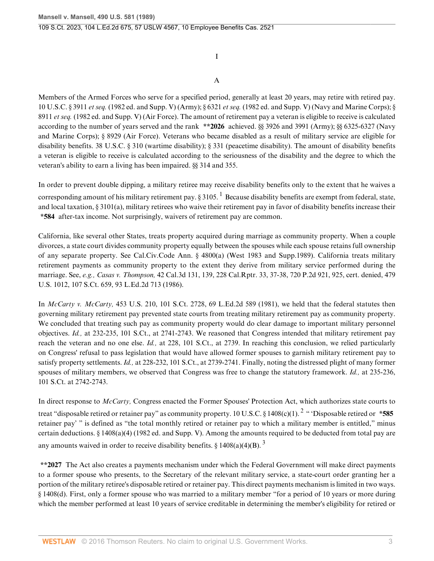I

## <span id="page-3-0"></span>A

Members of the Armed Forces who serve for a specified period, generally at least 20 years, may retire with retired pay. [10 U.S.C. § 3911](http://www.westlaw.com/Link/Document/FullText?findType=L&pubNum=1000546&cite=10USCAS3911&originatingDoc=I3193c0bf9c2511d9bdd1cfdd544ca3a4&refType=LQ&originationContext=document&vr=3.0&rs=cblt1.0&transitionType=DocumentItem&contextData=(sc.DocLink)) *et seq.* (1982 ed. and Supp. V) (Army); § 6321 *et seq.* (1982 ed. and Supp. V) (Navy and Marine Corps); § 8911 *et seq.* (1982 ed. and Supp. V) (Air Force). The amount of retirement pay a veteran is eligible to receive is calculated according to the number of years served and the rank **\*\*2026** achieved. §§ 3926 and 3991 (Army); §§ 6325-6327 (Navy and Marine Corps); § 8929 (Air Force). Veterans who became disabled as a result of military service are eligible for disability benefits. [38 U.S.C. § 310](http://www.westlaw.com/Link/Document/FullText?findType=L&pubNum=1000546&cite=38USCAS310&originatingDoc=I3193c0bf9c2511d9bdd1cfdd544ca3a4&refType=LQ&originationContext=document&vr=3.0&rs=cblt1.0&transitionType=DocumentItem&contextData=(sc.DocLink)) (wartime disability); § 331 (peacetime disability). The amount of disability benefits a veteran is eligible to receive is calculated according to the seriousness of the disability and the degree to which the veteran's ability to earn a living has been impaired. §§ 314 and 355.

In order to prevent double dipping, a military retiree may receive disability benefits only to the extent that he waives a corresponding amount of his military retirement pay. § 3[1](#page-11-2)05.  $^1$  Because disability benefits are exempt from federal, state, and local taxation, § 3101(a), military retirees who waive their retirement pay in favor of disability benefits increase their **\*584** after-tax income. Not surprisingly, waivers of retirement pay are common.

California, like several other States, treats property acquired during marriage as community property. When a couple divorces, a state court divides community property equally between the spouses while each spouse retains full ownership of any separate property. See [Cal.Civ.Code Ann. § 4800](http://www.westlaw.com/Link/Document/FullText?findType=L&pubNum=1000200&cite=CACIS4800&originatingDoc=I3193c0bf9c2511d9bdd1cfdd544ca3a4&refType=LQ&originationContext=document&vr=3.0&rs=cblt1.0&transitionType=DocumentItem&contextData=(sc.DocLink))(a) (West 1983 and Supp.1989). California treats military retirement payments as community property to the extent they derive from military service performed during the marriage. See, *e.g., Casas v. Thompson,* [42 Cal.3d 131, 139, 228 Cal.Rptr. 33, 37-38, 720 P.2d 921, 925,](http://www.westlaw.com/Link/Document/FullText?findType=Y&serNum=1986138548&pubNum=661&originatingDoc=I3193c0bf9c2511d9bdd1cfdd544ca3a4&refType=RP&fi=co_pp_sp_661_925&originationContext=document&vr=3.0&rs=cblt1.0&transitionType=DocumentItem&contextData=(sc.DocLink)#co_pp_sp_661_925) cert. denied, [479](http://www.westlaw.com/Link/Document/FullText?findType=Y&serNum=1986264004&pubNum=708&originatingDoc=I3193c0bf9c2511d9bdd1cfdd544ca3a4&refType=RP&originationContext=document&vr=3.0&rs=cblt1.0&transitionType=DocumentItem&contextData=(sc.DocLink)) [U.S. 1012, 107 S.Ct. 659, 93 L.Ed.2d 713 \(1986\).](http://www.westlaw.com/Link/Document/FullText?findType=Y&serNum=1986264004&pubNum=708&originatingDoc=I3193c0bf9c2511d9bdd1cfdd544ca3a4&refType=RP&originationContext=document&vr=3.0&rs=cblt1.0&transitionType=DocumentItem&contextData=(sc.DocLink))

In *McCarty v. McCarty,* [453 U.S. 210, 101 S.Ct. 2728, 69 L.Ed.2d 589 \(1981\)](http://www.westlaw.com/Link/Document/FullText?findType=Y&serNum=1981127855&pubNum=708&originatingDoc=I3193c0bf9c2511d9bdd1cfdd544ca3a4&refType=RP&originationContext=document&vr=3.0&rs=cblt1.0&transitionType=DocumentItem&contextData=(sc.DocLink)), we held that the federal statutes then governing military retirement pay prevented state courts from treating military retirement pay as community property. We concluded that treating such pay as community property would do clear damage to important military personnel objectives. *Id.,* [at 232-235, 101 S.Ct., at 2741-2743.](http://www.westlaw.com/Link/Document/FullText?findType=Y&serNum=1981127855&pubNum=708&originatingDoc=I3193c0bf9c2511d9bdd1cfdd544ca3a4&refType=RP&fi=co_pp_sp_708_2741&originationContext=document&vr=3.0&rs=cblt1.0&transitionType=DocumentItem&contextData=(sc.DocLink)#co_pp_sp_708_2741) We reasoned that Congress intended that military retirement pay reach the veteran and no one else. *Id.,* [at 228, 101 S.Ct., at 2739.](http://www.westlaw.com/Link/Document/FullText?findType=Y&serNum=1981127855&pubNum=708&originatingDoc=I3193c0bf9c2511d9bdd1cfdd544ca3a4&refType=RP&fi=co_pp_sp_708_2739&originationContext=document&vr=3.0&rs=cblt1.0&transitionType=DocumentItem&contextData=(sc.DocLink)#co_pp_sp_708_2739) In reaching this conclusion, we relied particularly on Congress' refusal to pass legislation that would have allowed former spouses to garnish military retirement pay to satisfy property settlements. *Id.,* [at 228-232, 101 S.Ct., at 2739-2741.](http://www.westlaw.com/Link/Document/FullText?findType=Y&serNum=1981127855&pubNum=708&originatingDoc=I3193c0bf9c2511d9bdd1cfdd544ca3a4&refType=RP&fi=co_pp_sp_708_2739&originationContext=document&vr=3.0&rs=cblt1.0&transitionType=DocumentItem&contextData=(sc.DocLink)#co_pp_sp_708_2739) Finally, noting the distressed plight of many former spouses of military members, we observed that Congress was free to change the statutory framework. *Id.,* [at 235-236,](http://www.westlaw.com/Link/Document/FullText?findType=Y&serNum=1981127855&pubNum=708&originatingDoc=I3193c0bf9c2511d9bdd1cfdd544ca3a4&refType=RP&fi=co_pp_sp_708_2742&originationContext=document&vr=3.0&rs=cblt1.0&transitionType=DocumentItem&contextData=(sc.DocLink)#co_pp_sp_708_2742) [101 S.Ct. at 2742-2743.](http://www.westlaw.com/Link/Document/FullText?findType=Y&serNum=1981127855&pubNum=708&originatingDoc=I3193c0bf9c2511d9bdd1cfdd544ca3a4&refType=RP&fi=co_pp_sp_708_2742&originationContext=document&vr=3.0&rs=cblt1.0&transitionType=DocumentItem&contextData=(sc.DocLink)#co_pp_sp_708_2742)

<span id="page-3-1"></span>In direct response to *McCarty,* Congress enacted the Former Spouses' Protection Act, which authorizes state courts to treat "disposable retired or retainer pay" as community property. [10 U.S.C. § 1408\(c\)\(1\).](http://www.westlaw.com/Link/Document/FullText?findType=L&pubNum=1000546&cite=10USCAS1408&originatingDoc=I3193c0bf9c2511d9bdd1cfdd544ca3a4&refType=RB&originationContext=document&vr=3.0&rs=cblt1.0&transitionType=DocumentItem&contextData=(sc.DocLink)#co_pp_10c0000001331) [2](#page-11-3) " 'Disposable retired or **\*585** retainer pay' " is defined as "the total monthly retired or retainer pay to which a military member is entitled," minus certain deductions. [§ 1408\(a\)\(4\)](http://www.westlaw.com/Link/Document/FullText?findType=L&pubNum=1000546&cite=10USCAS1408&originatingDoc=I3193c0bf9c2511d9bdd1cfdd544ca3a4&refType=RB&originationContext=document&vr=3.0&rs=cblt1.0&transitionType=DocumentItem&contextData=(sc.DocLink)#co_pp_d40e000072291) (1982 ed. and Supp. V). Among the amounts required to be deducted from total pay are any amounts waived in order to receive disability benefits. [§ 1408\(a\)\(4\)\(B\).](http://www.westlaw.com/Link/Document/FullText?findType=L&pubNum=1000546&cite=10USCAS1408&originatingDoc=I3193c0bf9c2511d9bdd1cfdd544ca3a4&refType=RB&originationContext=document&vr=3.0&rs=cblt1.0&transitionType=DocumentItem&contextData=(sc.DocLink)#co_pp_7f0000008ef57)  $^3$  $^3$ 

<span id="page-3-2"></span>**\*\*2027** The Act also creates a payments mechanism under which the Federal Government will make direct payments to a former spouse who presents, to the Secretary of the relevant military service, a state-court order granting her a portion of the military retiree's disposable retired or retainer pay. This direct payments mechanism is limited in two ways. [§ 1408\(d\).](http://www.westlaw.com/Link/Document/FullText?findType=L&pubNum=1000546&cite=10USCAS1408&originatingDoc=I3193c0bf9c2511d9bdd1cfdd544ca3a4&refType=RB&originationContext=document&vr=3.0&rs=cblt1.0&transitionType=DocumentItem&contextData=(sc.DocLink)#co_pp_5ba1000067d06) First, only a former spouse who was married to a military member "for a period of 10 years or more during which the member performed at least 10 years of service creditable in determining the member's eligibility for retired or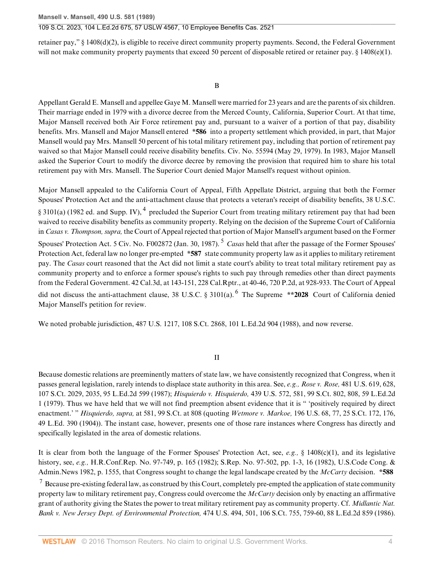retainer pay," [§ 1408\(d\)\(2\)](http://www.westlaw.com/Link/Document/FullText?findType=L&pubNum=1000546&cite=10USCAS1408&originatingDoc=I3193c0bf9c2511d9bdd1cfdd544ca3a4&refType=RB&originationContext=document&vr=3.0&rs=cblt1.0&transitionType=DocumentItem&contextData=(sc.DocLink)#co_pp_4be3000003be5), is eligible to receive direct community property payments. Second, the Federal Government will not make community property payments that exceed 50 percent of disposable retired or retainer pay. [§ 1408\(e\)\(1\).](http://www.westlaw.com/Link/Document/FullText?findType=L&pubNum=1000546&cite=10USCAS1408&originatingDoc=I3193c0bf9c2511d9bdd1cfdd544ca3a4&refType=RB&originationContext=document&vr=3.0&rs=cblt1.0&transitionType=DocumentItem&contextData=(sc.DocLink)#co_pp_06a60000dfdc6)

## B

Appellant Gerald E. Mansell and appellee Gaye M. Mansell were married for 23 years and are the parents of six children. Their marriage ended in 1979 with a divorce decree from the Merced County, California, Superior Court. At that time, Major Mansell received both Air Force retirement pay and, pursuant to a waiver of a portion of that pay, disability benefits. Mrs. Mansell and Major Mansell entered **\*586** into a property settlement which provided, in part, that Major Mansell would pay Mrs. Mansell 50 percent of his total military retirement pay, including that portion of retirement pay waived so that Major Mansell could receive disability benefits. Civ. No. 55594 (May 29, 1979). In 1983, Major Mansell asked the Superior Court to modify the divorce decree by removing the provision that required him to share his total retirement pay with Mrs. Mansell. The Superior Court denied Major Mansell's request without opinion.

<span id="page-4-0"></span>Major Mansell appealed to the California Court of Appeal, Fifth Appellate District, arguing that both the Former Spouses' Protection Act and the anti-attachment clause that protects a veteran's receipt of disability benefits, [38 U.S.C.](http://www.westlaw.com/Link/Document/FullText?findType=L&pubNum=1000546&cite=38USCAS3101&originatingDoc=I3193c0bf9c2511d9bdd1cfdd544ca3a4&refType=LQ&originationContext=document&vr=3.0&rs=cblt1.0&transitionType=DocumentItem&contextData=(sc.DocLink)) [§ 3101\(](http://www.westlaw.com/Link/Document/FullText?findType=L&pubNum=1000546&cite=38USCAS3101&originatingDoc=I3193c0bf9c2511d9bdd1cfdd544ca3a4&refType=LQ&originationContext=document&vr=3.0&rs=cblt1.0&transitionType=DocumentItem&contextData=(sc.DocLink))a) (1982 ed. and Supp. IV),  $4\,$  $4\,$  precluded the Superior Court from treating military retirement pay that had been waived to receive disability benefits as community property. Relying on the decision of the Supreme Court of California in *Casas v. Thompson, supra,* the Court of Appeal rejected that portion of Major Mansell's argument based on the Former Spouses' Protection Act. 5 Civ. No. F002872 (Jan. 30, 1987). [5](#page-11-6) *Casas* held that after the passage of the Former Spouses' Protection Act, federal law no longer pre-empted **\*587** state community property law as it applies to military retirement pay. The *Casas* court reasoned that the Act did not limit a state court's ability to treat total military retirement pay as community property and to enforce a former spouse's rights to such pay through remedies other than direct payments from the Federal Government. [42 Cal.3d, at 143-151, 228 Cal.Rptr., at 40-46, 720 P.2d, at 928-933.](http://www.westlaw.com/Link/Document/FullText?findType=Y&serNum=1986138548&pubNum=661&originatingDoc=I3193c0bf9c2511d9bdd1cfdd544ca3a4&refType=RP&fi=co_pp_sp_661_928&originationContext=document&vr=3.0&rs=cblt1.0&transitionType=DocumentItem&contextData=(sc.DocLink)#co_pp_sp_661_928) The Court of Appeal did not discuss the anti-attachment clause, [38 U.S.C. § 3101\(](http://www.westlaw.com/Link/Document/FullText?findType=L&pubNum=1000546&cite=38USCAS3101&originatingDoc=I3193c0bf9c2511d9bdd1cfdd544ca3a4&refType=LQ&originationContext=document&vr=3.0&rs=cblt1.0&transitionType=DocumentItem&contextData=(sc.DocLink))a). [6](#page-11-7) The Supreme **\*\*2028** Court of California denied Major Mansell's petition for review.

We noted probable jurisdiction, [487 U.S. 1217, 108 S.Ct. 2868, 101 L.Ed.2d 904 \(1988\),](http://www.westlaw.com/Link/Document/FullText?findType=Y&pubNum=708&cite=108SCT2868&originatingDoc=I3193c0bf9c2511d9bdd1cfdd544ca3a4&refType=RP&originationContext=document&vr=3.0&rs=cblt1.0&transitionType=DocumentItem&contextData=(sc.DocLink)) and now reverse.

## <span id="page-4-2"></span><span id="page-4-1"></span>II

Because domestic relations are preeminently matters of state law, we have consistently recognized that Congress, when it passes general legislation, rarely intends to displace state authority in this area. See, *e.g., Rose v. Rose,* [481 U.S. 619, 628,](http://www.westlaw.com/Link/Document/FullText?findType=Y&serNum=1987062390&pubNum=708&originatingDoc=I3193c0bf9c2511d9bdd1cfdd544ca3a4&refType=RP&fi=co_pp_sp_708_2035&originationContext=document&vr=3.0&rs=cblt1.0&transitionType=DocumentItem&contextData=(sc.DocLink)#co_pp_sp_708_2035) [107 S.Ct. 2029, 2035, 95 L.Ed.2d 599 \(1987\);](http://www.westlaw.com/Link/Document/FullText?findType=Y&serNum=1987062390&pubNum=708&originatingDoc=I3193c0bf9c2511d9bdd1cfdd544ca3a4&refType=RP&fi=co_pp_sp_708_2035&originationContext=document&vr=3.0&rs=cblt1.0&transitionType=DocumentItem&contextData=(sc.DocLink)#co_pp_sp_708_2035) *Hisquierdo v. Hisquierdo,* [439 U.S. 572, 581, 99 S.Ct. 802, 808, 59 L.Ed.2d](http://www.westlaw.com/Link/Document/FullText?findType=Y&serNum=1979108025&pubNum=708&originatingDoc=I3193c0bf9c2511d9bdd1cfdd544ca3a4&refType=RP&fi=co_pp_sp_708_808&originationContext=document&vr=3.0&rs=cblt1.0&transitionType=DocumentItem&contextData=(sc.DocLink)#co_pp_sp_708_808) [1 \(1979\).](http://www.westlaw.com/Link/Document/FullText?findType=Y&serNum=1979108025&pubNum=708&originatingDoc=I3193c0bf9c2511d9bdd1cfdd544ca3a4&refType=RP&fi=co_pp_sp_708_808&originationContext=document&vr=3.0&rs=cblt1.0&transitionType=DocumentItem&contextData=(sc.DocLink)#co_pp_sp_708_808) Thus we have held that we will not find preemption absent evidence that it is " 'positively required by direct enactment.' " *Hisquierdo, supra,* [at 581, 99 S.Ct. at 808](http://www.westlaw.com/Link/Document/FullText?findType=Y&serNum=1979108025&pubNum=708&originatingDoc=I3193c0bf9c2511d9bdd1cfdd544ca3a4&refType=RP&fi=co_pp_sp_708_808&originationContext=document&vr=3.0&rs=cblt1.0&transitionType=DocumentItem&contextData=(sc.DocLink)#co_pp_sp_708_808) (quoting *Wetmore v. Markoe,* [196 U.S. 68, 77, 25 S.Ct. 172, 176,](http://www.westlaw.com/Link/Document/FullText?findType=Y&serNum=1904100495&pubNum=708&originatingDoc=I3193c0bf9c2511d9bdd1cfdd544ca3a4&refType=RP&fi=co_pp_sp_708_176&originationContext=document&vr=3.0&rs=cblt1.0&transitionType=DocumentItem&contextData=(sc.DocLink)#co_pp_sp_708_176) [49 L.Ed. 390 \(1904\)\)](http://www.westlaw.com/Link/Document/FullText?findType=Y&serNum=1904100495&pubNum=708&originatingDoc=I3193c0bf9c2511d9bdd1cfdd544ca3a4&refType=RP&fi=co_pp_sp_708_176&originationContext=document&vr=3.0&rs=cblt1.0&transitionType=DocumentItem&contextData=(sc.DocLink)#co_pp_sp_708_176). The instant case, however, presents one of those rare instances where Congress has directly and specifically legislated in the area of domestic relations.

It is clear from both the language of the Former Spouses' Protection Act, see, *e.g.,* [§ 1408\(c\)\(1\),](http://www.westlaw.com/Link/Document/FullText?findType=L&pubNum=1000546&cite=10USCAS1408&originatingDoc=I3193c0bf9c2511d9bdd1cfdd544ca3a4&refType=RB&originationContext=document&vr=3.0&rs=cblt1.0&transitionType=DocumentItem&contextData=(sc.DocLink)#co_pp_10c0000001331) and its legislative history, see, *e.g.,* [H.R.Conf.Rep. No. 97-749, p. 165 \(1982\);](http://www.westlaw.com/Link/Document/FullText?findType=Y&serNum=0100506789&pubNum=0100015&originatingDoc=I3193c0bf9c2511d9bdd1cfdd544ca3a4&refType=TV&originationContext=document&vr=3.0&rs=cblt1.0&transitionType=DocumentItem&contextData=(sc.DocLink)) [S.Rep. No. 97-502, pp. 1-3, 16](http://www.westlaw.com/Link/Document/FullText?findType=Y&serNum=0100506790&pubNum=0001503&originatingDoc=I3193c0bf9c2511d9bdd1cfdd544ca3a4&refType=TV&originationContext=document&vr=3.0&rs=cblt1.0&transitionType=DocumentItem&contextData=(sc.DocLink)) (1982), U.S.Code Cong. & Admin.News 1982, p. 1555, that Congress sought to change the legal landscape created by the *McCarty* decision. **\*588**

<span id="page-4-3"></span> $^7$  $^7$  Because pre-existing federal law, as construed by this Court, completely pre-empted the application of state community property law to military retirement pay, Congress could overcome the *McCarty* decision only by enacting an affirmative grant of authority giving the States the power to treat military retirement pay as community property. Cf. *[Midlantic Nat.](http://www.westlaw.com/Link/Document/FullText?findType=Y&serNum=1986104706&pubNum=708&originatingDoc=I3193c0bf9c2511d9bdd1cfdd544ca3a4&refType=RP&fi=co_pp_sp_708_759&originationContext=document&vr=3.0&rs=cblt1.0&transitionType=DocumentItem&contextData=(sc.DocLink)#co_pp_sp_708_759) Bank v. New Jersey Dept. of Environmental Protection,* [474 U.S. 494, 501, 106 S.Ct. 755, 759-60, 88 L.Ed.2d 859 \(1986\)](http://www.westlaw.com/Link/Document/FullText?findType=Y&serNum=1986104706&pubNum=708&originatingDoc=I3193c0bf9c2511d9bdd1cfdd544ca3a4&refType=RP&fi=co_pp_sp_708_759&originationContext=document&vr=3.0&rs=cblt1.0&transitionType=DocumentItem&contextData=(sc.DocLink)#co_pp_sp_708_759).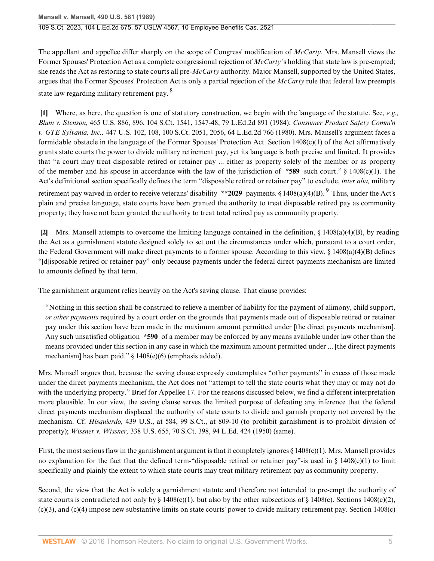The appellant and appellee differ sharply on the scope of Congress' modification of *McCarty.* Mrs. Mansell views the Former Spouses' Protection Act as a complete congressional rejection of *McCarty* 's holding that state law is pre-empted; she reads the Act as restoring to state courts all pre-*McCarty* authority. Major Mansell, supported by the United States, argues that the Former Spouses' Protection Act is only a partial rejection of the *McCarty* rule that federal law preempts state law regarding military retirement pay. <sup>[8](#page-11-9)</sup>

<span id="page-5-0"></span>**[1]** Where, as here, the question is one of statutory construction, we begin with the language of the statute. See, *e.g., Blum v. Stenson,* [465 U.S. 886, 896, 104 S.Ct. 1541, 1547-48, 79 L.Ed.2d 891 \(1984\);](http://www.westlaw.com/Link/Document/FullText?findType=Y&serNum=1984114238&pubNum=708&originatingDoc=I3193c0bf9c2511d9bdd1cfdd544ca3a4&refType=RP&fi=co_pp_sp_708_1547&originationContext=document&vr=3.0&rs=cblt1.0&transitionType=DocumentItem&contextData=(sc.DocLink)#co_pp_sp_708_1547) *[Consumer Product Safety Comm'n](http://www.westlaw.com/Link/Document/FullText?findType=Y&serNum=1980116766&pubNum=708&originatingDoc=I3193c0bf9c2511d9bdd1cfdd544ca3a4&refType=RP&fi=co_pp_sp_708_2056&originationContext=document&vr=3.0&rs=cblt1.0&transitionType=DocumentItem&contextData=(sc.DocLink)#co_pp_sp_708_2056) v. GTE Sylvania, Inc.,* [447 U.S. 102, 108, 100 S.Ct. 2051, 2056, 64 L.Ed.2d 766 \(1980\).](http://www.westlaw.com/Link/Document/FullText?findType=Y&serNum=1980116766&pubNum=708&originatingDoc=I3193c0bf9c2511d9bdd1cfdd544ca3a4&refType=RP&fi=co_pp_sp_708_2056&originationContext=document&vr=3.0&rs=cblt1.0&transitionType=DocumentItem&contextData=(sc.DocLink)#co_pp_sp_708_2056) Mrs. Mansell's argument faces a formidable obstacle in the language of the Former Spouses' Protection Act. [Section 1408\(c\)\(1\)](http://www.westlaw.com/Link/Document/FullText?findType=L&pubNum=1000546&cite=10USCAS1408&originatingDoc=I3193c0bf9c2511d9bdd1cfdd544ca3a4&refType=LQ&originationContext=document&vr=3.0&rs=cblt1.0&transitionType=DocumentItem&contextData=(sc.DocLink)) of the Act affirmatively grants state courts the power to divide military retirement pay, yet its language is both precise and limited. It provides that "a court may treat disposable retired or retainer pay ... either as property solely of the member or as property of the member and his spouse in accordance with the law of the jurisdiction of **\*589** such court." [§ 1408\(c\)\(1\)](http://www.westlaw.com/Link/Document/FullText?findType=L&pubNum=1000546&cite=10USCAS1408&originatingDoc=I3193c0bf9c2511d9bdd1cfdd544ca3a4&refType=RB&originationContext=document&vr=3.0&rs=cblt1.0&transitionType=DocumentItem&contextData=(sc.DocLink)#co_pp_10c0000001331). The Act's definitional section specifically defines the term "disposable retired or retainer pay" to exclude, *inter alia,* military retirement pay waived in order to receive veterans' disability **\*\*2029** payments. [§ 1408\(a\)\(4\)\(B\).](http://www.westlaw.com/Link/Document/FullText?findType=L&pubNum=1000546&cite=10USCAS1408&originatingDoc=I3193c0bf9c2511d9bdd1cfdd544ca3a4&refType=RB&originationContext=document&vr=3.0&rs=cblt1.0&transitionType=DocumentItem&contextData=(sc.DocLink)#co_pp_7f0000008ef57) [9](#page-11-10) Thus, under the Act's plain and precise language, state courts have been granted the authority to treat disposable retired pay as community property; they have not been granted the authority to treat total retired pay as community property.

<span id="page-5-1"></span>**[2]** Mrs. Mansell attempts to overcome the limiting language contained in the definition, [§ 1408\(a\)\(4\)\(B\),](http://www.westlaw.com/Link/Document/FullText?findType=L&pubNum=1000546&cite=10USCAS1408&originatingDoc=I3193c0bf9c2511d9bdd1cfdd544ca3a4&refType=RB&originationContext=document&vr=3.0&rs=cblt1.0&transitionType=DocumentItem&contextData=(sc.DocLink)#co_pp_7f0000008ef57) by reading the Act as a garnishment statute designed solely to set out the circumstances under which, pursuant to a court order, the Federal Government will make direct payments to a former spouse. According to this view,  $\S 1408(a)(4)(B)$  defines "[d]isposable retired or retainer pay" only because payments under the federal direct payments mechanism are limited to amounts defined by that term.

The garnishment argument relies heavily on the Act's saving clause. That clause provides:

"Nothing in this section shall be construed to relieve a member of liability for the payment of alimony, child support, *or other payments* required by a court order on the grounds that payments made out of disposable retired or retainer pay under this section have been made in the maximum amount permitted under [the direct payments mechanism]. Any such unsatisfied obligation **\*590** of a member may be enforced by any means available under law other than the means provided under this section in any case in which the maximum amount permitted under ... [the direct payments mechanism] has been paid." [§ 1408\(e\)\(6\)](http://www.westlaw.com/Link/Document/FullText?findType=L&pubNum=1000546&cite=10USCAS1408&originatingDoc=I3193c0bf9c2511d9bdd1cfdd544ca3a4&refType=RB&originationContext=document&vr=3.0&rs=cblt1.0&transitionType=DocumentItem&contextData=(sc.DocLink)#co_pp_71db000052462) (emphasis added).

Mrs. Mansell argues that, because the saving clause expressly contemplates "other payments" in excess of those made under the direct payments mechanism, the Act does not "attempt to tell the state courts what they may or may not do with the underlying property." Brief for Appellee 17. For the reasons discussed below, we find a different interpretation more plausible. In our view, the saving clause serves the limited purpose of defeating any inference that the federal direct payments mechanism displaced the authority of state courts to divide and garnish property not covered by the mechanism. Cf. *Hisquierdo,* [439 U.S., at 584, 99 S.Ct., at 809-10](http://www.westlaw.com/Link/Document/FullText?findType=Y&serNum=1979108025&pubNum=708&originatingDoc=I3193c0bf9c2511d9bdd1cfdd544ca3a4&refType=RP&fi=co_pp_sp_708_809&originationContext=document&vr=3.0&rs=cblt1.0&transitionType=DocumentItem&contextData=(sc.DocLink)#co_pp_sp_708_809) (to prohibit garnishment is to prohibit division of property); *Wissner v. Wissner,* [338 U.S. 655, 70 S.Ct. 398, 94 L.Ed. 424 \(1950\)](http://www.westlaw.com/Link/Document/FullText?findType=Y&serNum=1950120129&pubNum=708&originatingDoc=I3193c0bf9c2511d9bdd1cfdd544ca3a4&refType=RP&originationContext=document&vr=3.0&rs=cblt1.0&transitionType=DocumentItem&contextData=(sc.DocLink)) (same).

First, the most serious flaw in the garnishment argument is that it completely ignores  $\S 1408(c)(1)$ . Mrs. Mansell provides no explanation for the fact that the defined term-"disposable retired or retainer pay"-is used in  $\S$  1408(c)(1) to limit specifically and plainly the extent to which state courts may treat military retirement pay as community property.

Second, the view that the Act is solely a garnishment statute and therefore not intended to pre-empt the authority of state courts is contradicted not only by [§ 1408\(c\)\(1\)](http://www.westlaw.com/Link/Document/FullText?findType=L&pubNum=1000546&cite=10USCAS1408&originatingDoc=I3193c0bf9c2511d9bdd1cfdd544ca3a4&refType=RB&originationContext=document&vr=3.0&rs=cblt1.0&transitionType=DocumentItem&contextData=(sc.DocLink)#co_pp_10c0000001331), but also by the other subsections of [§ 1408\(c\)](http://www.westlaw.com/Link/Document/FullText?findType=L&pubNum=1000546&cite=10USCAS1408&originatingDoc=I3193c0bf9c2511d9bdd1cfdd544ca3a4&refType=RB&originationContext=document&vr=3.0&rs=cblt1.0&transitionType=DocumentItem&contextData=(sc.DocLink)#co_pp_4b24000003ba5). [Sections 1408\(c\)\(2\)](http://www.westlaw.com/Link/Document/FullText?findType=L&pubNum=1000546&cite=10USCAS1408&originatingDoc=I3193c0bf9c2511d9bdd1cfdd544ca3a4&refType=RB&originationContext=document&vr=3.0&rs=cblt1.0&transitionType=DocumentItem&contextData=(sc.DocLink)#co_pp_fcf30000ea9c4), [\(c\)\(3\),](http://www.westlaw.com/Link/Document/FullText?findType=L&pubNum=1000546&cite=10USCAS1408&originatingDoc=I3193c0bf9c2511d9bdd1cfdd544ca3a4&refType=RB&originationContext=document&vr=3.0&rs=cblt1.0&transitionType=DocumentItem&contextData=(sc.DocLink)#co_pp_b1b5000051ac5) and [\(c\)\(4\)](http://www.westlaw.com/Link/Document/FullText?findType=L&pubNum=1000546&cite=10USCAS1408&originatingDoc=I3193c0bf9c2511d9bdd1cfdd544ca3a4&refType=RB&originationContext=document&vr=3.0&rs=cblt1.0&transitionType=DocumentItem&contextData=(sc.DocLink)#co_pp_0c120000563a1) impose new substantive limits on state courts' power to divide military retirement pay. [Section 1408\(c\)](http://www.westlaw.com/Link/Document/FullText?findType=L&pubNum=1000546&cite=10USCAS1408&originatingDoc=I3193c0bf9c2511d9bdd1cfdd544ca3a4&refType=RB&originationContext=document&vr=3.0&rs=cblt1.0&transitionType=DocumentItem&contextData=(sc.DocLink)#co_pp_fcf30000ea9c4)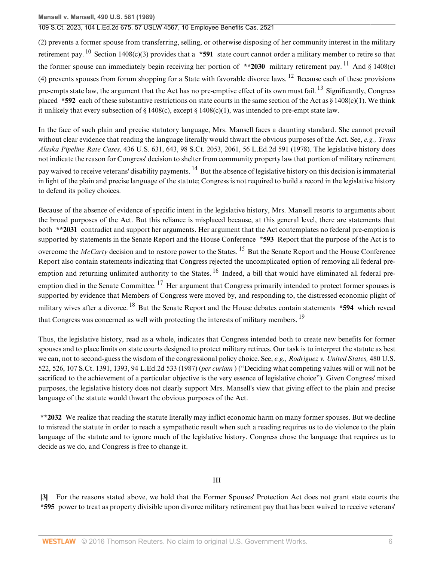## 109 S.Ct. 2023, 104 L.Ed.2d 675, 57 USLW 4567, 10 Employee Benefits Cas. 2521

<span id="page-6-2"></span><span id="page-6-1"></span><span id="page-6-0"></span>[\(2\)](http://www.westlaw.com/Link/Document/FullText?findType=L&pubNum=1000546&cite=10USCAS1408&originatingDoc=I3193c0bf9c2511d9bdd1cfdd544ca3a4&refType=RB&originationContext=document&vr=3.0&rs=cblt1.0&transitionType=DocumentItem&contextData=(sc.DocLink)#co_pp_fcf30000ea9c4) prevents a former spouse from transferring, selling, or otherwise disposing of her community interest in the military retirement pay. [10](#page-11-11) [Section 1408\(c\)\(3\)](http://www.westlaw.com/Link/Document/FullText?findType=L&pubNum=1000546&cite=10USCAS1408&originatingDoc=I3193c0bf9c2511d9bdd1cfdd544ca3a4&refType=RB&originationContext=document&vr=3.0&rs=cblt1.0&transitionType=DocumentItem&contextData=(sc.DocLink)#co_pp_b1b5000051ac5) provides that a **\*591** state court cannot order a military member to retire so that the former spouse can immediately begin receiving her portion of \*\*2030 military retirement pay. <sup>[11](#page-11-12)</sup> And [§ 1408\(c\)](http://www.westlaw.com/Link/Document/FullText?findType=L&pubNum=1000546&cite=10USCAS1408&originatingDoc=I3193c0bf9c2511d9bdd1cfdd544ca3a4&refType=RB&originationContext=document&vr=3.0&rs=cblt1.0&transitionType=DocumentItem&contextData=(sc.DocLink)#co_pp_0c120000563a1) [\(4\)](http://www.westlaw.com/Link/Document/FullText?findType=L&pubNum=1000546&cite=10USCAS1408&originatingDoc=I3193c0bf9c2511d9bdd1cfdd544ca3a4&refType=RB&originationContext=document&vr=3.0&rs=cblt1.0&transitionType=DocumentItem&contextData=(sc.DocLink)#co_pp_0c120000563a1) prevents spouses from forum shopping for a State with favorable divorce laws. <sup>[12](#page-12-0)</sup> Because each of these provisions pre-empts state law, the argument that the Act has no pre-emptive effect of its own must fail.  $^{13}$  $^{13}$  $^{13}$  Significantly, Congress placed **\*592** each of these substantive restrictions on state courts in the same section of the Act as [§ 1408\(c\)\(1\)](http://www.westlaw.com/Link/Document/FullText?findType=L&pubNum=1000546&cite=10USCAS1408&originatingDoc=I3193c0bf9c2511d9bdd1cfdd544ca3a4&refType=RB&originationContext=document&vr=3.0&rs=cblt1.0&transitionType=DocumentItem&contextData=(sc.DocLink)#co_pp_10c0000001331). We think it unlikely that every subsection of  $\S 1408(c)$ , except  $\S 1408(c)(1)$ , was intended to pre-empt state law.

<span id="page-6-4"></span><span id="page-6-3"></span>In the face of such plain and precise statutory language, Mrs. Mansell faces a daunting standard. She cannot prevail without clear evidence that reading the language literally would thwart the obvious purposes of the Act. See, *e.g., [Trans](http://www.westlaw.com/Link/Document/FullText?findType=Y&serNum=1978114251&pubNum=708&originatingDoc=I3193c0bf9c2511d9bdd1cfdd544ca3a4&refType=RP&fi=co_pp_sp_708_2061&originationContext=document&vr=3.0&rs=cblt1.0&transitionType=DocumentItem&contextData=(sc.DocLink)#co_pp_sp_708_2061) Alaska Pipeline Rate Cases,* [436 U.S. 631, 643, 98 S.Ct. 2053, 2061, 56 L.Ed.2d 591 \(1978\)](http://www.westlaw.com/Link/Document/FullText?findType=Y&serNum=1978114251&pubNum=708&originatingDoc=I3193c0bf9c2511d9bdd1cfdd544ca3a4&refType=RP&fi=co_pp_sp_708_2061&originationContext=document&vr=3.0&rs=cblt1.0&transitionType=DocumentItem&contextData=(sc.DocLink)#co_pp_sp_708_2061). The legislative history does not indicate the reason for Congress' decision to shelter from community property law that portion of military retirement pay waived to receive veterans' disability payments. <sup>[14](#page-12-2)</sup> But the absence of legislative history on this decision is immaterial in light of the plain and precise language of the statute; Congress is not required to build a record in the legislative history to defend its policy choices.

<span id="page-6-6"></span><span id="page-6-5"></span>Because of the absence of evidence of specific intent in the legislative history, Mrs. Mansell resorts to arguments about the broad purposes of the Act. But this reliance is misplaced because, at this general level, there are statements that both **\*\*2031** contradict and support her arguments. Her argument that the Act contemplates no federal pre-emption is supported by statements in the Senate Report and the House Conference **\*593** Report that the purpose of the Act is to overcome the *McCarty* decision and to restore power to the States.<sup>[15](#page-12-3)</sup> But the Senate Report and the House Conference Report also contain statements indicating that Congress rejected the uncomplicated option of removing all federal pre-emption and returning unlimited authority to the States. <sup>[16](#page-12-4)</sup> Indeed, a bill that would have eliminated all federal pre-emption died in the Senate Committee.<sup>[17](#page-12-5)</sup> Her argument that Congress primarily intended to protect former spouses is supported by evidence that Members of Congress were moved by, and responding to, the distressed economic plight of military wives after a divorce. [18](#page-12-6) But the Senate Report and the House debates contain statements **\*594** which reveal that Congress was concerned as well with protecting the interests of military members. [19](#page-12-7)

<span id="page-6-8"></span><span id="page-6-7"></span>Thus, the legislative history, read as a whole, indicates that Congress intended both to create new benefits for former spouses and to place limits on state courts designed to protect military retirees. Our task is to interpret the statute as best we can, not to second-guess the wisdom of the congressional policy choice. See, *e.g., [Rodriguez v. United States,](http://www.westlaw.com/Link/Document/FullText?findType=Y&serNum=1987036775&pubNum=708&originatingDoc=I3193c0bf9c2511d9bdd1cfdd544ca3a4&refType=RP&fi=co_pp_sp_708_1393&originationContext=document&vr=3.0&rs=cblt1.0&transitionType=DocumentItem&contextData=(sc.DocLink)#co_pp_sp_708_1393)* 480 U.S. [522, 526, 107 S.Ct. 1391, 1393, 94 L.Ed.2d 533 \(1987\)](http://www.westlaw.com/Link/Document/FullText?findType=Y&serNum=1987036775&pubNum=708&originatingDoc=I3193c0bf9c2511d9bdd1cfdd544ca3a4&refType=RP&fi=co_pp_sp_708_1393&originationContext=document&vr=3.0&rs=cblt1.0&transitionType=DocumentItem&contextData=(sc.DocLink)#co_pp_sp_708_1393) (*per curiam* ) ("Deciding what competing values will or will not be sacrificed to the achievement of a particular objective is the very essence of legislative choice"). Given Congress' mixed purposes, the legislative history does not clearly support Mrs. Mansell's view that giving effect to the plain and precise language of the statute would thwart the obvious purposes of the Act.

**\*\*2032** We realize that reading the statute literally may inflict economic harm on many former spouses. But we decline to misread the statute in order to reach a sympathetic result when such a reading requires us to do violence to the plain language of the statute and to ignore much of the legislative history. Congress chose the language that requires us to decide as we do, and Congress is free to change it.

#### <span id="page-6-9"></span>III

**[3]** For the reasons stated above, we hold that the Former Spouses' Protection Act does not grant state courts the **\*595** power to treat as property divisible upon divorce military retirement pay that has been waived to receive veterans'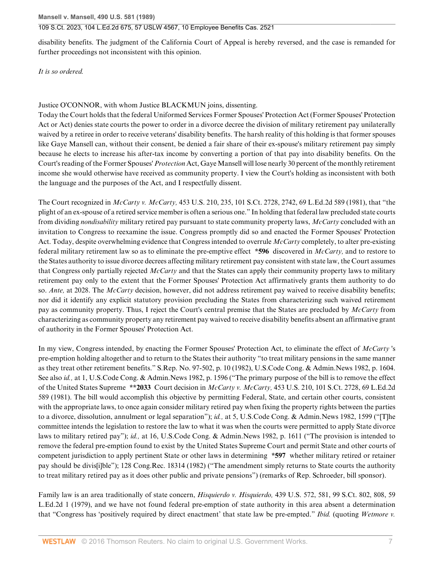disability benefits. The judgment of the California Court of Appeal is hereby reversed, and the case is remanded for further proceedings not inconsistent with this opinion.

## *It is so ordered.*

<span id="page-7-0"></span>Justice O'CONNOR, with whom Justice BLACKMUN joins, dissenting.

Today the Court holds that the federal Uniformed Services Former Spouses' Protection Act (Former Spouses' Protection Act or Act) denies state courts the power to order in a divorce decree the division of military retirement pay unilaterally waived by a retiree in order to receive veterans' disability benefits. The harsh reality of this holding is that former spouses like Gaye Mansell can, without their consent, be denied a fair share of their ex-spouse's military retirement pay simply because he elects to increase his after-tax income by converting a portion of that pay into disability benefits. On the Court's reading of the Former Spouses' *Protection* Act, Gaye Mansell will lose nearly 30 percent of the monthly retirement income she would otherwise have received as community property. I view the Court's holding as inconsistent with both the language and the purposes of the Act, and I respectfully dissent.

The Court recognized in *McCarty v. McCarty,* [453 U.S. 210, 235, 101 S.Ct. 2728, 2742, 69 L.Ed.2d 589 \(1981\)](http://www.westlaw.com/Link/Document/FullText?findType=Y&serNum=1981127855&pubNum=708&originatingDoc=I3193c0bf9c2511d9bdd1cfdd544ca3a4&refType=RP&fi=co_pp_sp_708_2742&originationContext=document&vr=3.0&rs=cblt1.0&transitionType=DocumentItem&contextData=(sc.DocLink)#co_pp_sp_708_2742), that "the plight of an ex-spouse of a retired service member is often a serious one." In holding that federal law precluded state courts from dividing *nondisability* military retired pay pursuant to state community property laws, *McCarty* concluded with an invitation to Congress to reexamine the issue. Congress promptly did so and enacted the Former Spouses' Protection Act. Today, despite overwhelming evidence that Congress intended to overrule *McCarty* completely, to alter pre-existing federal military retirement law so as to eliminate the pre-emptive effect **\*596** discovered in *McCarty,* and to restore to the States authority to issue divorce decrees affecting military retirement pay consistent with state law, the Court assumes that Congress only partially rejected *McCarty* and that the States can apply their community property laws to military retirement pay only to the extent that the Former Spouses' Protection Act affirmatively grants them authority to do so. *Ante,* at 2028. The *McCarty* decision, however, did not address retirement pay waived to receive disability benefits; nor did it identify any explicit statutory provision precluding the States from characterizing such waived retirement pay as community property. Thus, I reject the Court's central premise that the States are precluded by *McCarty* from characterizing as community property any retirement pay waived to receive disability benefits absent an affirmative grant of authority in the Former Spouses' Protection Act.

In my view, Congress intended, by enacting the Former Spouses' Protection Act, to eliminate the effect of *McCarty* 's pre-emption holding altogether and to return to the States their authority "to treat military pensions in the same manner as they treat other retirement benefits." [S.Rep. No. 97-502, p. 10](http://www.westlaw.com/Link/Document/FullText?findType=Y&serNum=0100506790&pubNum=0001503&originatingDoc=I3193c0bf9c2511d9bdd1cfdd544ca3a4&refType=TV&originationContext=document&vr=3.0&rs=cblt1.0&transitionType=DocumentItem&contextData=(sc.DocLink)) (1982), U.S.Code Cong. & Admin.News 1982, p. 1604. See also *id.*, at 1, U.S.Code Cong. & Admin.News 1982, p. 1596 ("The primary purpose of the bill is to remove the effect of the United States Supreme **\*\*2033** Court decision in *McCarty v. McCarty,* [453 U.S. 210, 101 S.Ct. 2728, 69 L.Ed.2d](http://www.westlaw.com/Link/Document/FullText?findType=Y&serNum=1981127855&pubNum=708&originatingDoc=I3193c0bf9c2511d9bdd1cfdd544ca3a4&refType=RP&originationContext=document&vr=3.0&rs=cblt1.0&transitionType=DocumentItem&contextData=(sc.DocLink)) [589 \(1981\).](http://www.westlaw.com/Link/Document/FullText?findType=Y&serNum=1981127855&pubNum=708&originatingDoc=I3193c0bf9c2511d9bdd1cfdd544ca3a4&refType=RP&originationContext=document&vr=3.0&rs=cblt1.0&transitionType=DocumentItem&contextData=(sc.DocLink)) The bill would accomplish this objective by permitting Federal, State, and certain other courts, consistent with the appropriate laws, to once again consider military retired pay when fixing the property rights between the parties to a divorce, dissolution, annulment or legal separation"); *id.*, at 5, U.S.Code Cong. & Admin.News 1982, 1599 ("The committee intends the legislation to restore the law to what it was when the courts were permitted to apply State divorce laws to military retired pay"); *id.,* at 16, U.S.Code Cong. & Admin.News 1982, p. 1611 ("The provision is intended to remove the federal pre-emption found to exist by the United States Supreme Court and permit State and other courts of competent jurisdiction to apply pertinent State or other laws in determining **\*597** whether military retired or retainer pay should be divis[i]ble"); 128 Cong.Rec. 18314 (1982) ("The amendment simply returns to State courts the authority to treat military retired pay as it does other public and private pensions") (remarks of Rep. Schroeder, bill sponsor).

Family law is an area traditionally of state concern, *Hisquierdo v. Hisquierdo,* [439 U.S. 572, 581, 99 S.Ct. 802, 808, 59](http://www.westlaw.com/Link/Document/FullText?findType=Y&serNum=1979108025&pubNum=708&originatingDoc=I3193c0bf9c2511d9bdd1cfdd544ca3a4&refType=RP&fi=co_pp_sp_708_808&originationContext=document&vr=3.0&rs=cblt1.0&transitionType=DocumentItem&contextData=(sc.DocLink)#co_pp_sp_708_808) [L.Ed.2d 1 \(1979\)](http://www.westlaw.com/Link/Document/FullText?findType=Y&serNum=1979108025&pubNum=708&originatingDoc=I3193c0bf9c2511d9bdd1cfdd544ca3a4&refType=RP&fi=co_pp_sp_708_808&originationContext=document&vr=3.0&rs=cblt1.0&transitionType=DocumentItem&contextData=(sc.DocLink)#co_pp_sp_708_808), and we have not found federal pre-emption of state authority in this area absent a determination that "Congress has 'positively required by direct enactment' that state law be pre-empted." *Ibid.* (quoting *[Wetmore v.](http://www.westlaw.com/Link/Document/FullText?findType=Y&serNum=1904100495&pubNum=708&originatingDoc=I3193c0bf9c2511d9bdd1cfdd544ca3a4&refType=RP&fi=co_pp_sp_708_176&originationContext=document&vr=3.0&rs=cblt1.0&transitionType=DocumentItem&contextData=(sc.DocLink)#co_pp_sp_708_176)*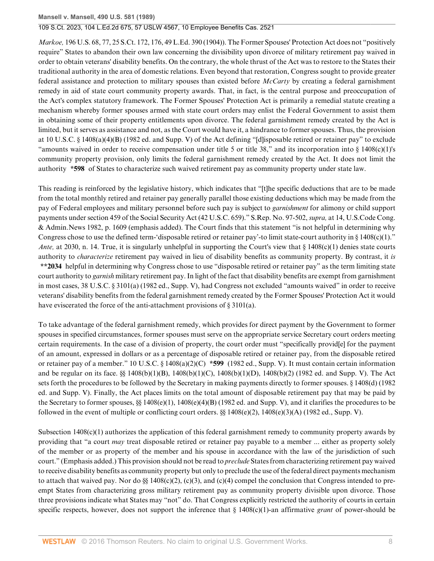#### 109 S.Ct. 2023, 104 L.Ed.2d 675, 57 USLW 4567, 10 Employee Benefits Cas. 2521

*Markoe,* [196 U.S. 68, 77, 25 S.Ct. 172, 176, 49 L.Ed. 390 \(1904\)\)](http://www.westlaw.com/Link/Document/FullText?findType=Y&serNum=1904100495&pubNum=708&originatingDoc=I3193c0bf9c2511d9bdd1cfdd544ca3a4&refType=RP&fi=co_pp_sp_708_176&originationContext=document&vr=3.0&rs=cblt1.0&transitionType=DocumentItem&contextData=(sc.DocLink)#co_pp_sp_708_176). The Former Spouses' Protection Act does not "positively require" States to abandon their own law concerning the divisibility upon divorce of military retirement pay waived in order to obtain veterans' disability benefits. On the contrary, the whole thrust of the Act was to restore to the States their traditional authority in the area of domestic relations. Even beyond that restoration, Congress sought to provide greater federal assistance and protection to military spouses than existed before *McCarty* by creating a federal garnishment remedy in aid of state court community property awards. That, in fact, is the central purpose and preoccupation of the Act's complex statutory framework. The Former Spouses' Protection Act is primarily a remedial statute creating a mechanism whereby former spouses armed with state court orders may enlist the Federal Government to assist them in obtaining some of their property entitlements upon divorce. The federal garnishment remedy created by the Act is limited, but it serves as assistance and not, as the Court would have it, a hindrance to former spouses. Thus, the provision at [10 U.S.C. § 1408\(a\)\(4\)\(B\)](http://www.westlaw.com/Link/Document/FullText?findType=L&pubNum=1000546&cite=10USCAS1408&originatingDoc=I3193c0bf9c2511d9bdd1cfdd544ca3a4&refType=RB&originationContext=document&vr=3.0&rs=cblt1.0&transitionType=DocumentItem&contextData=(sc.DocLink)#co_pp_7f0000008ef57) (1982 ed. and Supp. V) of the Act defining "[d]isposable retired or retainer pay" to exclude "amounts waived in order to receive compensation under [title 5](http://www.westlaw.com/Link/Document/FullText?findType=L&pubNum=1000546&cite=5USCAS3101&originatingDoc=I3193c0bf9c2511d9bdd1cfdd544ca3a4&refType=LQ&originationContext=document&vr=3.0&rs=cblt1.0&transitionType=DocumentItem&contextData=(sc.DocLink)) or [title 38](http://www.westlaw.com/Link/Document/FullText?findType=L&pubNum=1000546&cite=38USCAS3101&originatingDoc=I3193c0bf9c2511d9bdd1cfdd544ca3a4&refType=LQ&originationContext=document&vr=3.0&rs=cblt1.0&transitionType=DocumentItem&contextData=(sc.DocLink))," and its incorporation into [§ 1408\(c\)\(1\)](http://www.westlaw.com/Link/Document/FullText?findType=L&pubNum=1000546&cite=10USCAS1408&originatingDoc=I3193c0bf9c2511d9bdd1cfdd544ca3a4&refType=RB&originationContext=document&vr=3.0&rs=cblt1.0&transitionType=DocumentItem&contextData=(sc.DocLink)#co_pp_10c0000001331)'s community property provision, only limits the federal garnishment remedy created by the Act. It does not limit the authority **\*598** of States to characterize such waived retirement pay as community property under state law.

This reading is reinforced by the legislative history, which indicates that "[t]he specific deductions that are to be made from the total monthly retired and retainer pay generally parallel those existing deductions which may be made from the pay of Federal employees and military personnel before such pay is subject to *garnishment* for alimony or child support payments under section 459 of the Social Security Act [\(42 U.S.C. 659](http://www.westlaw.com/Link/Document/FullText?findType=L&pubNum=1000546&cite=42USCAS659&originatingDoc=I3193c0bf9c2511d9bdd1cfdd544ca3a4&refType=LQ&originationContext=document&vr=3.0&rs=cblt1.0&transitionType=DocumentItem&contextData=(sc.DocLink)))." [S.Rep. No. 97-502](http://www.westlaw.com/Link/Document/FullText?findType=Y&serNum=0100506790&pubNum=0001503&originatingDoc=I3193c0bf9c2511d9bdd1cfdd544ca3a4&refType=TV&originationContext=document&vr=3.0&rs=cblt1.0&transitionType=DocumentItem&contextData=(sc.DocLink)), *[supra,](http://www.westlaw.com/Link/Document/FullText?findType=Y&serNum=1979108025&originatingDoc=I3193c0bf9c2511d9bdd1cfdd544ca3a4&refType=RP&originationContext=document&vr=3.0&rs=cblt1.0&transitionType=DocumentItem&contextData=(sc.DocLink))* at 14, U.S.Code Cong. & Admin.News 1982, p. 1609 (emphasis added). The Court finds that this statement "is not helpful in determining why Congress chose to use the defined term-'disposable retired or retainer pay'-to limit state-court authority in  $\S 1408(c)(1)$ ." *Ante*, at 2030, n. 14. True, it is singularly unhelpful in supporting the Court's view that [§ 1408\(c\)\(1\)](http://www.westlaw.com/Link/Document/FullText?findType=L&pubNum=1000546&cite=10USCAS1408&originatingDoc=I3193c0bf9c2511d9bdd1cfdd544ca3a4&refType=RB&originationContext=document&vr=3.0&rs=cblt1.0&transitionType=DocumentItem&contextData=(sc.DocLink)#co_pp_10c0000001331) denies state courts authority to *characterize* retirement pay waived in lieu of disability benefits as community property. By contrast, it *is* **\*\*2034** helpful in determining why Congress chose to use "disposable retired or retainer pay" as the term limiting state court authority to *garnish* military retirement pay. In light of the fact that disability benefits are exempt from garnishment in most cases, [38 U.S.C. § 3101](http://www.westlaw.com/Link/Document/FullText?findType=L&pubNum=1000546&cite=38USCAS3101&originatingDoc=I3193c0bf9c2511d9bdd1cfdd544ca3a4&refType=LQ&originationContext=document&vr=3.0&rs=cblt1.0&transitionType=DocumentItem&contextData=(sc.DocLink))(a) (1982 ed., Supp. V), had Congress not excluded "amounts waived" in order to receive veterans' disability benefits from the federal garnishment remedy created by the Former Spouses' Protection Act it would have eviscerated the force of the anti-attachment provisions of [§ 3101](http://www.westlaw.com/Link/Document/FullText?findType=L&pubNum=1000546&cite=38USCAS3101&originatingDoc=I3193c0bf9c2511d9bdd1cfdd544ca3a4&refType=LQ&originationContext=document&vr=3.0&rs=cblt1.0&transitionType=DocumentItem&contextData=(sc.DocLink))(a).

To take advantage of the federal garnishment remedy, which provides for direct payment by the Government to former spouses in specified circumstances, former spouses must serve on the appropriate service Secretary court orders meeting certain requirements. In the case of a division of property, the court order must "specifically provid[e] for the payment of an amount, expressed in dollars or as a percentage of disposable retired or retainer pay, from the disposable retired or retainer pay of a member." [10 U.S.C. § 1408\(a\)\(2\)\(C\)](http://www.westlaw.com/Link/Document/FullText?findType=L&pubNum=1000546&cite=10USCAS1408&originatingDoc=I3193c0bf9c2511d9bdd1cfdd544ca3a4&refType=RB&originationContext=document&vr=3.0&rs=cblt1.0&transitionType=DocumentItem&contextData=(sc.DocLink)#co_pp_9bab000016341) **\*599** (1982 ed., Supp. V). It must contain certain information and be regular on its face. [§§ 1408\(b\)\(1\)\(B\)](http://www.westlaw.com/Link/Document/FullText?findType=L&pubNum=1000546&cite=10USCAS1408&originatingDoc=I3193c0bf9c2511d9bdd1cfdd544ca3a4&refType=RB&originationContext=document&vr=3.0&rs=cblt1.0&transitionType=DocumentItem&contextData=(sc.DocLink)#co_pp_2a4b0000e5562), [1408\(b\)\(1\)\(C\),](http://www.westlaw.com/Link/Document/FullText?findType=L&pubNum=1000546&cite=10USCAS1408&originatingDoc=I3193c0bf9c2511d9bdd1cfdd544ca3a4&refType=RB&originationContext=document&vr=3.0&rs=cblt1.0&transitionType=DocumentItem&contextData=(sc.DocLink)#co_pp_c6a2000092f87) [1408\(b\)\(1\)\(D\)](http://www.westlaw.com/Link/Document/FullText?findType=L&pubNum=1000546&cite=10USCAS1408&originatingDoc=I3193c0bf9c2511d9bdd1cfdd544ca3a4&refType=RB&originationContext=document&vr=3.0&rs=cblt1.0&transitionType=DocumentItem&contextData=(sc.DocLink)#co_pp_c0ec0000e3522), [1408\(b\)\(2\)](http://www.westlaw.com/Link/Document/FullText?findType=L&pubNum=1000546&cite=10USCAS1408&originatingDoc=I3193c0bf9c2511d9bdd1cfdd544ca3a4&refType=RB&originationContext=document&vr=3.0&rs=cblt1.0&transitionType=DocumentItem&contextData=(sc.DocLink)#co_pp_c0ae00006c482) (1982 ed. and Supp. V). The Act sets forth the procedures to be followed by the Secretary in making payments directly to former spouses. [§ 1408\(d\)](http://www.westlaw.com/Link/Document/FullText?findType=L&pubNum=1000546&cite=10USCAS1408&originatingDoc=I3193c0bf9c2511d9bdd1cfdd544ca3a4&refType=RB&originationContext=document&vr=3.0&rs=cblt1.0&transitionType=DocumentItem&contextData=(sc.DocLink)#co_pp_5ba1000067d06) (1982 ed. and Supp. V). Finally, the Act places limits on the total amount of disposable retirement pay that may be paid by the Secretary to former spouses, [§§ 1408\(e\)\(1\),](http://www.westlaw.com/Link/Document/FullText?findType=L&pubNum=1000546&cite=10USCAS1408&originatingDoc=I3193c0bf9c2511d9bdd1cfdd544ca3a4&refType=RB&originationContext=document&vr=3.0&rs=cblt1.0&transitionType=DocumentItem&contextData=(sc.DocLink)#co_pp_06a60000dfdc6) [1408\(e\)\(4\)\(B\)](http://www.westlaw.com/Link/Document/FullText?findType=L&pubNum=1000546&cite=10USCAS1408&originatingDoc=I3193c0bf9c2511d9bdd1cfdd544ca3a4&refType=RB&originationContext=document&vr=3.0&rs=cblt1.0&transitionType=DocumentItem&contextData=(sc.DocLink)#co_pp_e61400004a261) (1982 ed. and Supp. V), and it clarifies the procedures to be followed in the event of multiple or conflicting court orders.  $\S$  1408(e)(2), [1408\(e\)\(3\)\(A\)](http://www.westlaw.com/Link/Document/FullText?findType=L&pubNum=1000546&cite=10USCAS1408&originatingDoc=I3193c0bf9c2511d9bdd1cfdd544ca3a4&refType=RB&originationContext=document&vr=3.0&rs=cblt1.0&transitionType=DocumentItem&contextData=(sc.DocLink)#co_pp_6a4300003b1c0) (1982 ed., Supp. V).

Subsection 1408(c)(1) authorizes the application of this federal garnishment remedy to community property awards by providing that "a court *may* treat disposable retired or retainer pay payable to a member ... either as property solely of the member or as property of the member and his spouse in accordance with the law of the jurisdiction of such court." (Emphasis added.) This provision should not be read to *preclude* States from characterizing retirement pay waived to receive disability benefits as community property but only to preclude the use of the federal direct payments mechanism to attach that waived pay. Nor do [§§ 1408\(c\)\(2\)](http://www.westlaw.com/Link/Document/FullText?findType=L&pubNum=1000546&cite=10USCAS1408&originatingDoc=I3193c0bf9c2511d9bdd1cfdd544ca3a4&refType=RB&originationContext=document&vr=3.0&rs=cblt1.0&transitionType=DocumentItem&contextData=(sc.DocLink)#co_pp_fcf30000ea9c4), [\(c\)\(3\)](http://www.westlaw.com/Link/Document/FullText?findType=L&pubNum=1000546&cite=10USCAS1408&originatingDoc=I3193c0bf9c2511d9bdd1cfdd544ca3a4&refType=RB&originationContext=document&vr=3.0&rs=cblt1.0&transitionType=DocumentItem&contextData=(sc.DocLink)#co_pp_b1b5000051ac5), and [\(c\)\(4\)](http://www.westlaw.com/Link/Document/FullText?findType=L&pubNum=1000546&cite=10USCAS1408&originatingDoc=I3193c0bf9c2511d9bdd1cfdd544ca3a4&refType=RB&originationContext=document&vr=3.0&rs=cblt1.0&transitionType=DocumentItem&contextData=(sc.DocLink)#co_pp_0c120000563a1) compel the conclusion that Congress intended to preempt States from characterizing gross military retirement pay as community property divisible upon divorce. Those three provisions indicate what States may "not" do. That Congress explicitly restricted the authority of courts in certain specific respects, however, does not support the inference that [§ 1408\(c\)\(1\)](http://www.westlaw.com/Link/Document/FullText?findType=L&pubNum=1000546&cite=10USCAS1408&originatingDoc=I3193c0bf9c2511d9bdd1cfdd544ca3a4&refType=RB&originationContext=document&vr=3.0&rs=cblt1.0&transitionType=DocumentItem&contextData=(sc.DocLink)#co_pp_10c0000001331)-an affirmative *grant* of power-should be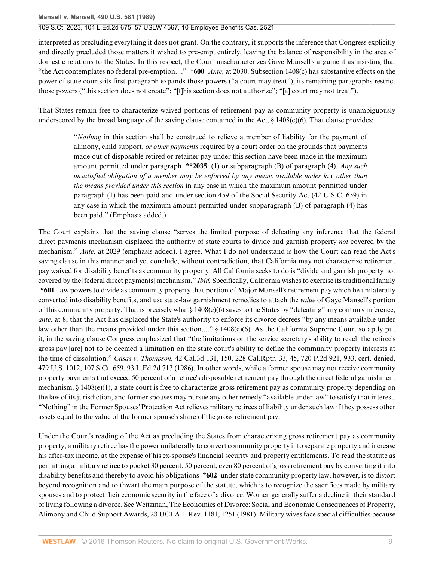## 109 S.Ct. 2023, 104 L.Ed.2d 675, 57 USLW 4567, 10 Employee Benefits Cas. 2521

interpreted as precluding everything it does not grant. On the contrary, it supports the inference that Congress explicitly and directly precluded those matters it wished to pre-empt entirely, leaving the balance of responsibility in the area of domestic relations to the States. In this respect, the Court mischaracterizes Gaye Mansell's argument as insisting that "the Act contemplates no federal pre-emption...." **\*600** *Ante,* at 2030. Subsection 1408(c) has substantive effects on the power of state courts-its first paragraph expands those powers ("a court may treat"); its remaining paragraphs restrict those powers ("this section does not create"; "[t]his section does not authorize"; "[a] court may not treat").

That States remain free to characterize waived portions of retirement pay as community property is unambiguously underscored by the broad language of the saving clause contained in the Act,  $\S 1408(e)(6)$ . That clause provides:

"*Nothing* in this section shall be construed to relieve a member of liability for the payment of alimony, child support, *or other payments* required by a court order on the grounds that payments made out of disposable retired or retainer pay under this section have been made in the maximum amount permitted under paragraph **\*\*2035** (1) or subparagraph (B) of paragraph (4). *Any such unsatisfied obligation of a member may be enforced by any means available under law other than the means provided under this section* in any case in which the maximum amount permitted under paragraph (1) has been paid and under section 459 of the Social Security Act [\(42 U.S.C. 659](http://www.westlaw.com/Link/Document/FullText?findType=L&pubNum=1000546&cite=42USCAS659&originatingDoc=I3193c0bf9c2511d9bdd1cfdd544ca3a4&refType=LQ&originationContext=document&vr=3.0&rs=cblt1.0&transitionType=DocumentItem&contextData=(sc.DocLink))) in any case in which the maximum amount permitted under subparagraph (B) of paragraph (4) has been paid." (Emphasis added.)

The Court explains that the saving clause "serves the limited purpose of defeating any inference that the federal direct payments mechanism displaced the authority of state courts to divide and garnish property *not* covered by the mechanism." *Ante,* at 2029 (emphasis added). I agree. What I do not understand is how the Court can read the Act's saving clause in this manner and yet conclude, without contradiction, that California may not characterize retirement pay waived for disability benefits as community property. All California seeks to do is "divide and garnish property not covered by the [federal direct payments] mechanism." *Ibid.* Specifically, California wishes to exercise its traditional family **\*601** law powers to divide as community property that portion of Major Mansell's retirement pay which he unilaterally converted into disability benefits, and use state-law garnishment remedies to attach the *value* of Gaye Mansell's portion of this community property. That is precisely what  $\S 1408(e)(6)$  saves to the States by "defeating" any contrary inference, *ante,* at 8, that the Act has displaced the State's authority to enforce its divorce decrees "by any means available under law other than the means provided under this section...." [§ 1408\(e\)\(6\)](http://www.westlaw.com/Link/Document/FullText?findType=L&pubNum=1000546&cite=10USCAS1408&originatingDoc=I3193c0bf9c2511d9bdd1cfdd544ca3a4&refType=RB&originationContext=document&vr=3.0&rs=cblt1.0&transitionType=DocumentItem&contextData=(sc.DocLink)#co_pp_71db000052462). As the California Supreme Court so aptly put it, in the saving clause Congress emphasized that "the limitations on the service secretary's ability to reach the retiree's gross pay [are] not to be deemed a limitation on the state court's ability to define the community property interests at the time of dissolution." *Casas v. Thompson,* [42 Cal.3d 131, 150, 228 Cal.Rptr. 33, 45, 720 P.2d 921, 933,](http://www.westlaw.com/Link/Document/FullText?findType=Y&serNum=1986138548&pubNum=661&originatingDoc=I3193c0bf9c2511d9bdd1cfdd544ca3a4&refType=RP&fi=co_pp_sp_661_933&originationContext=document&vr=3.0&rs=cblt1.0&transitionType=DocumentItem&contextData=(sc.DocLink)#co_pp_sp_661_933) cert. denied, [479 U.S. 1012, 107 S.Ct. 659, 93 L.Ed.2d 713 \(1986\).](http://www.westlaw.com/Link/Document/FullText?findType=Y&serNum=1986264004&pubNum=708&originatingDoc=I3193c0bf9c2511d9bdd1cfdd544ca3a4&refType=RP&originationContext=document&vr=3.0&rs=cblt1.0&transitionType=DocumentItem&contextData=(sc.DocLink)) In other words, while a former spouse may not receive community property payments that exceed 50 percent of a retiree's disposable retirement pay through the direct federal garnishment mechanism, [§ 1408\(e\)\(1\)](http://www.westlaw.com/Link/Document/FullText?findType=L&pubNum=1000546&cite=10USCAS1408&originatingDoc=I3193c0bf9c2511d9bdd1cfdd544ca3a4&refType=RB&originationContext=document&vr=3.0&rs=cblt1.0&transitionType=DocumentItem&contextData=(sc.DocLink)#co_pp_06a60000dfdc6), a state court is free to characterize gross retirement pay as community property depending on the law of its jurisdiction, and former spouses may pursue any other remedy "available under law" to satisfy that interest. "Nothing" in the Former Spouses' Protection Act relieves military retirees of liability under such law if they possess other assets equal to the value of the former spouse's share of the gross retirement pay.

Under the Court's reading of the Act as precluding the States from characterizing gross retirement pay as community property, a military retiree has the power unilaterally to convert community property into separate property and increase his after-tax income, at the expense of his ex-spouse's financial security and property entitlements. To read the statute as permitting a military retiree to pocket 30 percent, 50 percent, even 80 percent of gross retirement pay by converting it into disability benefits and thereby to avoid his obligations **\*602** under state community property law, however, is to distort beyond recognition and to thwart the main purpose of the statute, which is to recognize the sacrifices made by military spouses and to protect their economic security in the face of a divorce. Women generally suffer a decline in their standard of living following a divorce. See Weitzman, The Economics of Divorce: Social and Economic Consequences of Property, Alimony and Child Support Awards, 28 UCLA L.Rev. 1181, 1251 (1981). Military wives face special difficulties because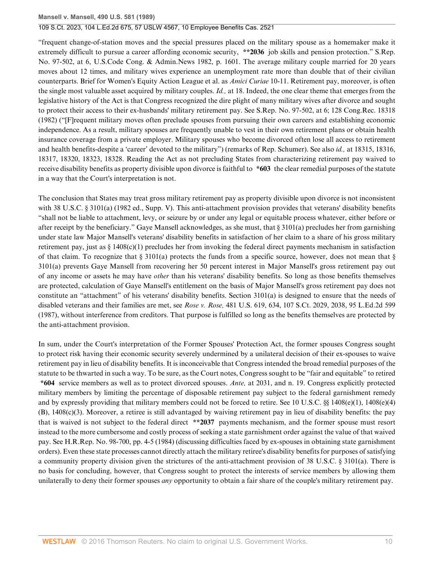#### 109 S.Ct. 2023, 104 L.Ed.2d 675, 57 USLW 4567, 10 Employee Benefits Cas. 2521

"frequent change-of-station moves and the special pressures placed on the military spouse as a homemaker make it extremely difficult to pursue a career affording economic security, **\*\*2036** job skills and pension protection." [S.Rep.](http://www.westlaw.com/Link/Document/FullText?findType=Y&serNum=0100506790&pubNum=0001503&originatingDoc=I3193c0bf9c2511d9bdd1cfdd544ca3a4&refType=TV&originationContext=document&vr=3.0&rs=cblt1.0&transitionType=DocumentItem&contextData=(sc.DocLink)) [No. 97-502](http://www.westlaw.com/Link/Document/FullText?findType=Y&serNum=0100506790&pubNum=0001503&originatingDoc=I3193c0bf9c2511d9bdd1cfdd544ca3a4&refType=TV&originationContext=document&vr=3.0&rs=cblt1.0&transitionType=DocumentItem&contextData=(sc.DocLink)), at 6, U.S.Code Cong. & Admin.News 1982, p. 1601. The average military couple married for 20 years moves about 12 times, and military wives experience an unemployment rate more than double that of their civilian counterparts. Brief for Women's Equity Action League et al. as *Amici Curiae* 10-11. Retirement pay, moreover, is often the single most valuable asset acquired by military couples. *Id.,* at 18. Indeed, the one clear theme that emerges from the legislative history of the Act is that Congress recognized the dire plight of many military wives after divorce and sought to protect their access to their ex-husbands' military retirement pay. See [S.Rep. No. 97-502,](http://www.westlaw.com/Link/Document/FullText?findType=Y&serNum=0100506790&pubNum=0001503&originatingDoc=I3193c0bf9c2511d9bdd1cfdd544ca3a4&refType=TV&originationContext=document&vr=3.0&rs=cblt1.0&transitionType=DocumentItem&contextData=(sc.DocLink)) at 6; 128 Cong.Rec. 18318 (1982) ("[F]requent military moves often preclude spouses from pursuing their own careers and establishing economic independence. As a result, military spouses are frequently unable to vest in their own retirement plans or obtain health insurance coverage from a private employer. Military spouses who become divorced often lose all access to retirement and health benefits-despite a 'career' devoted to the military") (remarks of Rep. Schumer). See also *id.,* at 18315, 18316, 18317, 18320, 18323, 18328. Reading the Act as not precluding States from characterizing retirement pay waived to receive disability benefits as property divisible upon divorce is faithful to **\*603** the clear remedial purposes of the statute in a way that the Court's interpretation is not.

The conclusion that States may treat gross military retirement pay as property divisible upon divorce is not inconsistent with [38 U.S.C. § 3101\(](http://www.westlaw.com/Link/Document/FullText?findType=L&pubNum=1000546&cite=38USCAS3101&originatingDoc=I3193c0bf9c2511d9bdd1cfdd544ca3a4&refType=LQ&originationContext=document&vr=3.0&rs=cblt1.0&transitionType=DocumentItem&contextData=(sc.DocLink))a) (1982 ed., Supp. V). This anti-attachment provision provides that veterans' disability benefits "shall not be liable to attachment, levy, or seizure by or under any legal or equitable process whatever, either before or after receipt by the beneficiary." Gaye Mansell acknowledges, as she must, that  $\S 3101(a)$  precludes her from garnishing under state law Major Mansell's veterans' disability benefits in satisfaction of her claim to a share of his gross military retirement pay, just as  $\S 1408(c)(1)$  precludes her from invoking the federal direct payments mechanism in satisfaction of that claim. To recognize that  $\S 3101(a)$  protects the funds from a specific source, however, does not mean that  $\S$ [3101](http://www.westlaw.com/Link/Document/FullText?findType=L&pubNum=1000546&cite=38USCAS3101&originatingDoc=I3193c0bf9c2511d9bdd1cfdd544ca3a4&refType=LQ&originationContext=document&vr=3.0&rs=cblt1.0&transitionType=DocumentItem&contextData=(sc.DocLink))(a) prevents Gaye Mansell from recovering her 50 percent interest in Major Mansell's gross retirement pay out of any income or assets he may have *other* than his veterans' disability benefits. So long as those benefits themselves are protected, calculation of Gaye Mansell's entitlement on the basis of Major Mansell's gross retirement pay does not constitute an "attachment" of his veterans' disability benefits. [Section 3101\(](http://www.westlaw.com/Link/Document/FullText?findType=L&pubNum=1000546&cite=38USCAS3101&originatingDoc=I3193c0bf9c2511d9bdd1cfdd544ca3a4&refType=LQ&originationContext=document&vr=3.0&rs=cblt1.0&transitionType=DocumentItem&contextData=(sc.DocLink))a) is designed to ensure that the needs of disabled veterans and their families are met, see *Rose v. Rose,* [481 U.S. 619, 634, 107 S.Ct. 2029, 2038, 95 L.Ed.2d 599](http://www.westlaw.com/Link/Document/FullText?findType=Y&serNum=1987062390&pubNum=708&originatingDoc=I3193c0bf9c2511d9bdd1cfdd544ca3a4&refType=RP&fi=co_pp_sp_708_2038&originationContext=document&vr=3.0&rs=cblt1.0&transitionType=DocumentItem&contextData=(sc.DocLink)#co_pp_sp_708_2038) [\(1987\),](http://www.westlaw.com/Link/Document/FullText?findType=Y&serNum=1987062390&pubNum=708&originatingDoc=I3193c0bf9c2511d9bdd1cfdd544ca3a4&refType=RP&fi=co_pp_sp_708_2038&originationContext=document&vr=3.0&rs=cblt1.0&transitionType=DocumentItem&contextData=(sc.DocLink)#co_pp_sp_708_2038) without interference from creditors. That purpose is fulfilled so long as the benefits themselves are protected by the anti-attachment provision.

In sum, under the Court's interpretation of the Former Spouses' Protection Act, the former spouses Congress sought to protect risk having their economic security severely undermined by a unilateral decision of their ex-spouses to waive retirement pay in lieu of disability benefits. It is inconceivable that Congress intended the broad remedial purposes of the statute to be thwarted in such a way. To be sure, as the Court notes, Congress sought to be "fair and equitable" to retired **\*604** service members as well as to protect divorced spouses. *Ante,* [at 2031, and n. 19.](http://www.westlaw.com/Link/Document/FullText?findType=Y&serNum=1987062390&originatingDoc=I3193c0bf9c2511d9bdd1cfdd544ca3a4&refType=RP&originationContext=document&vr=3.0&rs=cblt1.0&transitionType=DocumentItem&contextData=(sc.DocLink)) Congress explicitly protected military members by limiting the percentage of disposable retirement pay subject to the federal garnishment remedy and by expressly providing that military members could not be forced to retire. See [10 U.S.C. §§ 1408\(e\)\(1\),](http://www.westlaw.com/Link/Document/FullText?findType=L&pubNum=1000546&cite=10USCAS1408&originatingDoc=I3193c0bf9c2511d9bdd1cfdd544ca3a4&refType=RB&originationContext=document&vr=3.0&rs=cblt1.0&transitionType=DocumentItem&contextData=(sc.DocLink)#co_pp_06a60000dfdc6) [1408\(e\)\(4\)](http://www.westlaw.com/Link/Document/FullText?findType=L&pubNum=1000546&cite=10USCAS1408&originatingDoc=I3193c0bf9c2511d9bdd1cfdd544ca3a4&refType=RB&originationContext=document&vr=3.0&rs=cblt1.0&transitionType=DocumentItem&contextData=(sc.DocLink)#co_pp_e61400004a261) [\(B\)](http://www.westlaw.com/Link/Document/FullText?findType=L&pubNum=1000546&cite=10USCAS1408&originatingDoc=I3193c0bf9c2511d9bdd1cfdd544ca3a4&refType=RB&originationContext=document&vr=3.0&rs=cblt1.0&transitionType=DocumentItem&contextData=(sc.DocLink)#co_pp_e61400004a261), [1408\(c\)\(3\).](http://www.westlaw.com/Link/Document/FullText?findType=L&pubNum=1000546&cite=10USCAS1408&originatingDoc=I3193c0bf9c2511d9bdd1cfdd544ca3a4&refType=RB&originationContext=document&vr=3.0&rs=cblt1.0&transitionType=DocumentItem&contextData=(sc.DocLink)#co_pp_b1b5000051ac5) Moreover, a retiree is still advantaged by waiving retirement pay in lieu of disability benefits: the pay that is waived is not subject to the federal direct **\*\*2037** payments mechanism, and the former spouse must resort instead to the more cumbersome and costly process of seeking a state garnishment order against the value of that waived pay. See [H.R.Rep. No. 98-700, pp. 4-5 \(1984\)](http://www.westlaw.com/Link/Document/FullText?findType=Y&pubNum=0100014&cite=HRREP98-700&originatingDoc=I3193c0bf9c2511d9bdd1cfdd544ca3a4&refType=TV&originationContext=document&vr=3.0&rs=cblt1.0&transitionType=DocumentItem&contextData=(sc.DocLink)) (discussing difficulties faced by ex-spouses in obtaining state garnishment orders). Even these state processes cannot directly attach the military retiree's disability benefits for purposes of satisfying a community property division given the strictures of the anti-attachment provision of [38 U.S.C. § 3101\(](http://www.westlaw.com/Link/Document/FullText?findType=L&pubNum=1000546&cite=38USCAS3101&originatingDoc=I3193c0bf9c2511d9bdd1cfdd544ca3a4&refType=LQ&originationContext=document&vr=3.0&rs=cblt1.0&transitionType=DocumentItem&contextData=(sc.DocLink))a). There is no basis for concluding, however, that Congress sought to protect the interests of service members by allowing them unilaterally to deny their former spouses *any* opportunity to obtain a fair share of the couple's military retirement pay.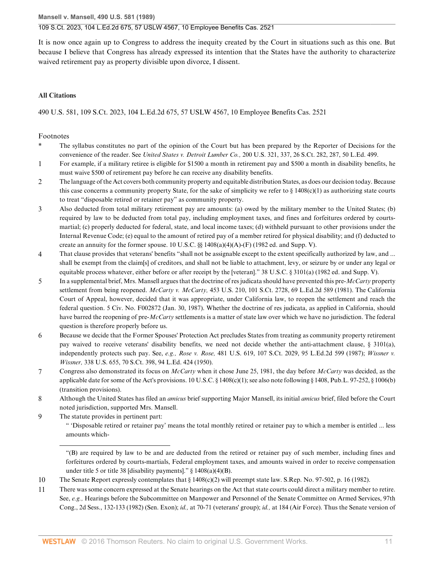109 S.Ct. 2023, 104 L.Ed.2d 675, 57 USLW 4567, 10 Employee Benefits Cas. 2521

It is now once again up to Congress to address the inequity created by the Court in situations such as this one. But because I believe that Congress has already expressed its intention that the States have the authority to characterize waived retirement pay as property divisible upon divorce, I dissent.

#### <span id="page-11-0"></span>**All Citations**

490 U.S. 581, 109 S.Ct. 2023, 104 L.Ed.2d 675, 57 USLW 4567, 10 Employee Benefits Cas. 2521

#### Footnotes

- <span id="page-11-1"></span>The syllabus constitutes no part of the opinion of the Court but has been prepared by the Reporter of Decisions for the convenience of the reader. See *United States v. Detroit Lumber Co.,* [200 U.S. 321, 337, 26 S.Ct. 282, 287, 50 L.Ed. 499.](http://www.westlaw.com/Link/Document/FullText?findType=Y&serNum=1906101604&pubNum=708&originatingDoc=I3193c0bf9c2511d9bdd1cfdd544ca3a4&refType=RP&fi=co_pp_sp_708_287&originationContext=document&vr=3.0&rs=cblt1.0&transitionType=DocumentItem&contextData=(sc.DocLink)#co_pp_sp_708_287)
- <span id="page-11-2"></span>[1](#page-3-0) For example, if a military retiree is eligible for \$1500 a month in retirement pay and \$500 a month in disability benefits, he must waive \$500 of retirement pay before he can receive any disability benefits.
- <span id="page-11-3"></span>[2](#page-3-1) The language of the Act covers both community property and equitable distribution States, as does our decision today. Because this case concerns a community property State, for the sake of simplicity we refer to  $\S 1408(c)(1)$  as authorizing state courts to treat "disposable retired or retainer pay" as community property.
- <span id="page-11-4"></span>[3](#page-3-2) Also deducted from total military retirement pay are amounts: (a) owed by the military member to the United States; (b) required by law to be deducted from total pay, including employment taxes, and fines and forfeitures ordered by courtsmartial; (c) properly deducted for federal, state, and local income taxes; (d) withheld pursuant to other provisions under the Internal Revenue Code; (e) equal to the amount of retired pay of a member retired for physical disability; and (f) deducted to create an annuity for the former spouse. [10 U.S.C. §§ 1408\(a\)\(4\)\(A\)-](http://www.westlaw.com/Link/Document/FullText?findType=L&pubNum=1000546&cite=10USCAS1408&originatingDoc=I3193c0bf9c2511d9bdd1cfdd544ca3a4&refType=RB&originationContext=document&vr=3.0&rs=cblt1.0&transitionType=DocumentItem&contextData=(sc.DocLink)#co_pp_08d30000fbae5)(F) (1982 ed. and Supp. V).
- <span id="page-11-5"></span>[4](#page-4-0) That clause provides that veterans' benefits "shall not be assignable except to the extent specifically authorized by law, and ... shall be exempt from the claim[s] of creditors, and shall not be liable to attachment, levy, or seizure by or under any legal or equitable process whatever, either before or after receipt by the [veteran]." [38 U.S.C. § 3101](http://www.westlaw.com/Link/Document/FullText?findType=L&pubNum=1000546&cite=38USCAS3101&originatingDoc=I3193c0bf9c2511d9bdd1cfdd544ca3a4&refType=LQ&originationContext=document&vr=3.0&rs=cblt1.0&transitionType=DocumentItem&contextData=(sc.DocLink))(a) (1982 ed. and Supp. V).
- <span id="page-11-6"></span>[5](#page-4-1) In a supplemental brief, Mrs. Mansell argues that the doctrine of res judicata should have prevented this pre-*McCarty* property settlement from being reopened. *McCarty v. McCarty,* [453 U.S. 210, 101 S.Ct. 2728, 69 L.Ed.2d 589 \(1981\)](http://www.westlaw.com/Link/Document/FullText?findType=Y&serNum=1981127855&pubNum=708&originatingDoc=I3193c0bf9c2511d9bdd1cfdd544ca3a4&refType=RP&originationContext=document&vr=3.0&rs=cblt1.0&transitionType=DocumentItem&contextData=(sc.DocLink)). The California Court of Appeal, however, decided that it was appropriate, under California law, to reopen the settlement and reach the federal question. 5 Civ. No. F002872 (Jan. 30, 1987). Whether the doctrine of res judicata, as applied in California, should have barred the reopening of pre-*McCarty* settlements is a matter of state law over which we have no jurisdiction. The federal question is therefore properly before us.
- <span id="page-11-7"></span>[6](#page-4-2) Because we decide that the Former Spouses' Protection Act precludes States from treating as community property retirement pay waived to receive veterans' disability benefits, we need not decide whether the anti-attachment clause, [§ 3101](http://www.westlaw.com/Link/Document/FullText?findType=L&pubNum=1000546&cite=38USCAS3101&originatingDoc=I3193c0bf9c2511d9bdd1cfdd544ca3a4&refType=LQ&originationContext=document&vr=3.0&rs=cblt1.0&transitionType=DocumentItem&contextData=(sc.DocLink))(a), independently protects such pay. See, *e.g., Rose v. Rose,* [481 U.S. 619, 107 S.Ct. 2029, 95 L.Ed.2d 599 \(1987\);](http://www.westlaw.com/Link/Document/FullText?findType=Y&serNum=1987062390&pubNum=708&originatingDoc=I3193c0bf9c2511d9bdd1cfdd544ca3a4&refType=RP&originationContext=document&vr=3.0&rs=cblt1.0&transitionType=DocumentItem&contextData=(sc.DocLink)) *[Wissner v.](http://www.westlaw.com/Link/Document/FullText?findType=Y&serNum=1950120129&pubNum=708&originatingDoc=I3193c0bf9c2511d9bdd1cfdd544ca3a4&refType=RP&originationContext=document&vr=3.0&rs=cblt1.0&transitionType=DocumentItem&contextData=(sc.DocLink)) Wissner,* [338 U.S. 655, 70 S.Ct. 398, 94 L.Ed. 424 \(1950\)](http://www.westlaw.com/Link/Document/FullText?findType=Y&serNum=1950120129&pubNum=708&originatingDoc=I3193c0bf9c2511d9bdd1cfdd544ca3a4&refType=RP&originationContext=document&vr=3.0&rs=cblt1.0&transitionType=DocumentItem&contextData=(sc.DocLink)).
- <span id="page-11-8"></span>[7](#page-4-3) Congress also demonstrated its focus on *McCarty* when it chose June 25, 1981, the day before *McCarty* was decided, as the applicable date for some of the Act's provisions. [10 U.S.C. § 1408\(c\)\(1\);](http://www.westlaw.com/Link/Document/FullText?findType=L&pubNum=1000546&cite=10USCAS1408&originatingDoc=I3193c0bf9c2511d9bdd1cfdd544ca3a4&refType=RB&originationContext=document&vr=3.0&rs=cblt1.0&transitionType=DocumentItem&contextData=(sc.DocLink)#co_pp_10c0000001331) see also note following [§ 1408,](http://www.westlaw.com/Link/Document/FullText?findType=L&pubNum=1000546&cite=10USCAS1408&originatingDoc=I3193c0bf9c2511d9bdd1cfdd544ca3a4&refType=LQ&originationContext=document&vr=3.0&rs=cblt1.0&transitionType=DocumentItem&contextData=(sc.DocLink)) [Pub.L. 97-252, § 1006\(b\)](http://www.westlaw.com/Link/Document/FullText?findType=l&pubNum=1077005&cite=UUID(I699873346F-69410A8E699-E49F02D6FE6)&originatingDoc=I3193c0bf9c2511d9bdd1cfdd544ca3a4&refType=SL&originationContext=document&vr=3.0&rs=cblt1.0&transitionType=DocumentItem&contextData=(sc.DocLink)) (transition provisions).
- <span id="page-11-9"></span>[8](#page-5-0) Although the United States has filed an *amicus* brief supporting Major Mansell, its initial *amicus* brief, filed before the Court noted jurisdiction, supported Mrs. Mansell.
- <span id="page-11-10"></span>[9](#page-5-1) The statute provides in pertinent part:

" 'Disposable retired or retainer pay' means the total monthly retired or retainer pay to which a member is entitled ... less amounts which-

<sup>&</sup>quot;(B) are required by law to be and are deducted from the retired or retainer pay of such member, including fines and forfeitures ordered by courts-martials, Federal employment taxes, and amounts waived in order to receive compensation under [title 5](http://www.westlaw.com/Link/Document/FullText?findType=L&pubNum=1000546&cite=5USCAS3101&originatingDoc=I3193c0bf9c2511d9bdd1cfdd544ca3a4&refType=LQ&originationContext=document&vr=3.0&rs=cblt1.0&transitionType=DocumentItem&contextData=(sc.DocLink)) or [title 38](http://www.westlaw.com/Link/Document/FullText?findType=L&pubNum=1000546&cite=38USCAS3101&originatingDoc=I3193c0bf9c2511d9bdd1cfdd544ca3a4&refType=LQ&originationContext=document&vr=3.0&rs=cblt1.0&transitionType=DocumentItem&contextData=(sc.DocLink)) [disability payments]." [§ 1408\(a\)\(4\)\(B\)](http://www.westlaw.com/Link/Document/FullText?findType=L&pubNum=1000546&cite=10USCAS1408&originatingDoc=I3193c0bf9c2511d9bdd1cfdd544ca3a4&refType=RB&originationContext=document&vr=3.0&rs=cblt1.0&transitionType=DocumentItem&contextData=(sc.DocLink)#co_pp_7f0000008ef57).

<span id="page-11-11"></span>[<sup>10</sup>](#page-6-0) The Senate Report expressly contemplates that [§ 1408\(c\)\(2\)](http://www.westlaw.com/Link/Document/FullText?findType=L&pubNum=1000546&cite=10USCAS1408&originatingDoc=I3193c0bf9c2511d9bdd1cfdd544ca3a4&refType=RB&originationContext=document&vr=3.0&rs=cblt1.0&transitionType=DocumentItem&contextData=(sc.DocLink)#co_pp_fcf30000ea9c4) will preempt state law. [S.Rep. No. 97-502, p. 16 \(1982\)](http://www.westlaw.com/Link/Document/FullText?findType=Y&serNum=0100506790&pubNum=0001503&originatingDoc=I3193c0bf9c2511d9bdd1cfdd544ca3a4&refType=TV&originationContext=document&vr=3.0&rs=cblt1.0&transitionType=DocumentItem&contextData=(sc.DocLink)).

<span id="page-11-12"></span>[<sup>11</sup>](#page-6-1) There was some concern expressed at the Senate hearings on the Act that state courts could direct a military member to retire. See, *e.g.,* Hearings before the Subcommittee on Manpower and Personnel of the Senate Committee on Armed Services, 97th Cong., 2d Sess., 132-133 (1982) (Sen. Exon); *id.,* at 70-71 (veterans' group); *id.,* at 184 (Air Force). Thus the Senate version of